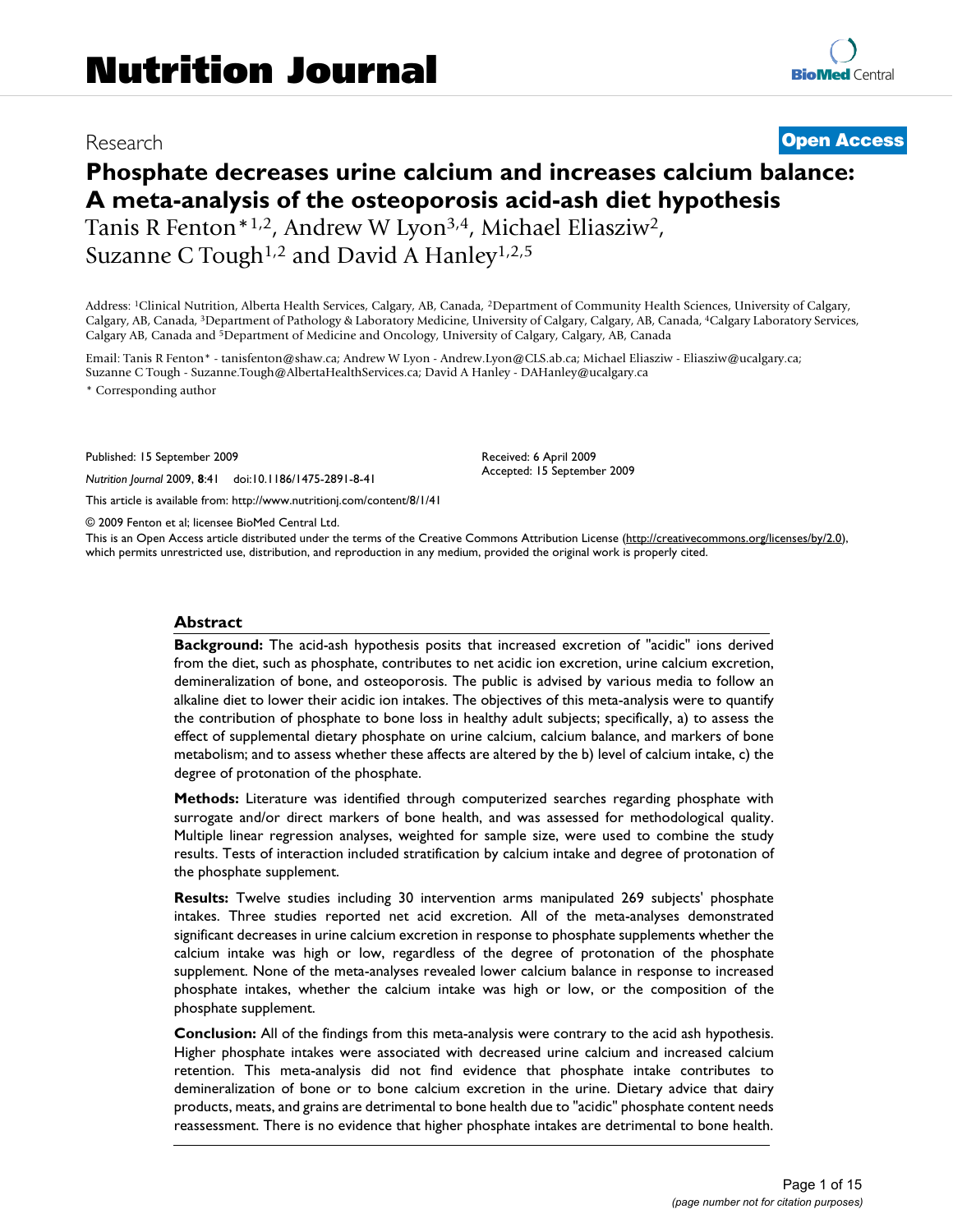## Research **[Open Access](http://www.biomedcentral.com/info/about/charter/)**

# **Phosphate decreases urine calcium and increases calcium balance: A meta-analysis of the osteoporosis acid-ash diet hypothesis**

Tanis R Fenton\*1,2, Andrew W Lyon3,4, Michael Eliasziw2, Suzanne C Tough<sup>1,2</sup> and David A Hanley<sup>1,2,5</sup>

Address: 1Clinical Nutrition, Alberta Health Services, Calgary, AB, Canada, 2Department of Community Health Sciences, University of Calgary, Calgary, AB, Canada, 3Department of Pathology & Laboratory Medicine, University of Calgary, Calgary, AB, Canada, 4Calgary Laboratory Services, Calgary AB, Canada and 5Department of Medicine and Oncology, University of Calgary, Calgary, AB, Canada

Email: Tanis R Fenton\* - tanisfenton@shaw.ca; Andrew W Lyon - Andrew.Lyon@CLS.ab.ca; Michael Eliasziw - Eliasziw@ucalgary.ca; Suzanne C Tough - Suzanne.Tough@AlbertaHealthServices.ca; David A Hanley - DAHanley@ucalgary.ca

\* Corresponding author

Published: 15 September 2009

*Nutrition Journal* 2009, **8**:41 doi:10.1186/1475-2891-8-41

[This article is available from: http://www.nutritionj.com/content/8/1/41](http://www.nutritionj.com/content/8/1/41)

© 2009 Fenton et al; licensee BioMed Central Ltd.

This is an Open Access article distributed under the terms of the Creative Commons Attribution License [\(http://creativecommons.org/licenses/by/2.0\)](http://creativecommons.org/licenses/by/2.0), which permits unrestricted use, distribution, and reproduction in any medium, provided the original work is properly cited.

Received: 6 April 2009 Accepted: 15 September 2009

#### **Abstract**

**Background:** The acid-ash hypothesis posits that increased excretion of "acidic" ions derived from the diet, such as phosphate, contributes to net acidic ion excretion, urine calcium excretion, demineralization of bone, and osteoporosis. The public is advised by various media to follow an alkaline diet to lower their acidic ion intakes. The objectives of this meta-analysis were to quantify the contribution of phosphate to bone loss in healthy adult subjects; specifically, a) to assess the effect of supplemental dietary phosphate on urine calcium, calcium balance, and markers of bone metabolism; and to assess whether these affects are altered by the b) level of calcium intake, c) the degree of protonation of the phosphate.

**Methods:** Literature was identified through computerized searches regarding phosphate with surrogate and/or direct markers of bone health, and was assessed for methodological quality. Multiple linear regression analyses, weighted for sample size, were used to combine the study results. Tests of interaction included stratification by calcium intake and degree of protonation of the phosphate supplement.

**Results:** Twelve studies including 30 intervention arms manipulated 269 subjects' phosphate intakes. Three studies reported net acid excretion. All of the meta-analyses demonstrated significant decreases in urine calcium excretion in response to phosphate supplements whether the calcium intake was high or low, regardless of the degree of protonation of the phosphate supplement. None of the meta-analyses revealed lower calcium balance in response to increased phosphate intakes, whether the calcium intake was high or low, or the composition of the phosphate supplement.

**Conclusion:** All of the findings from this meta-analysis were contrary to the acid ash hypothesis. Higher phosphate intakes were associated with decreased urine calcium and increased calcium retention. This meta-analysis did not find evidence that phosphate intake contributes to demineralization of bone or to bone calcium excretion in the urine. Dietary advice that dairy products, meats, and grains are detrimental to bone health due to "acidic" phosphate content needs reassessment. There is no evidence that higher phosphate intakes are detrimental to bone health.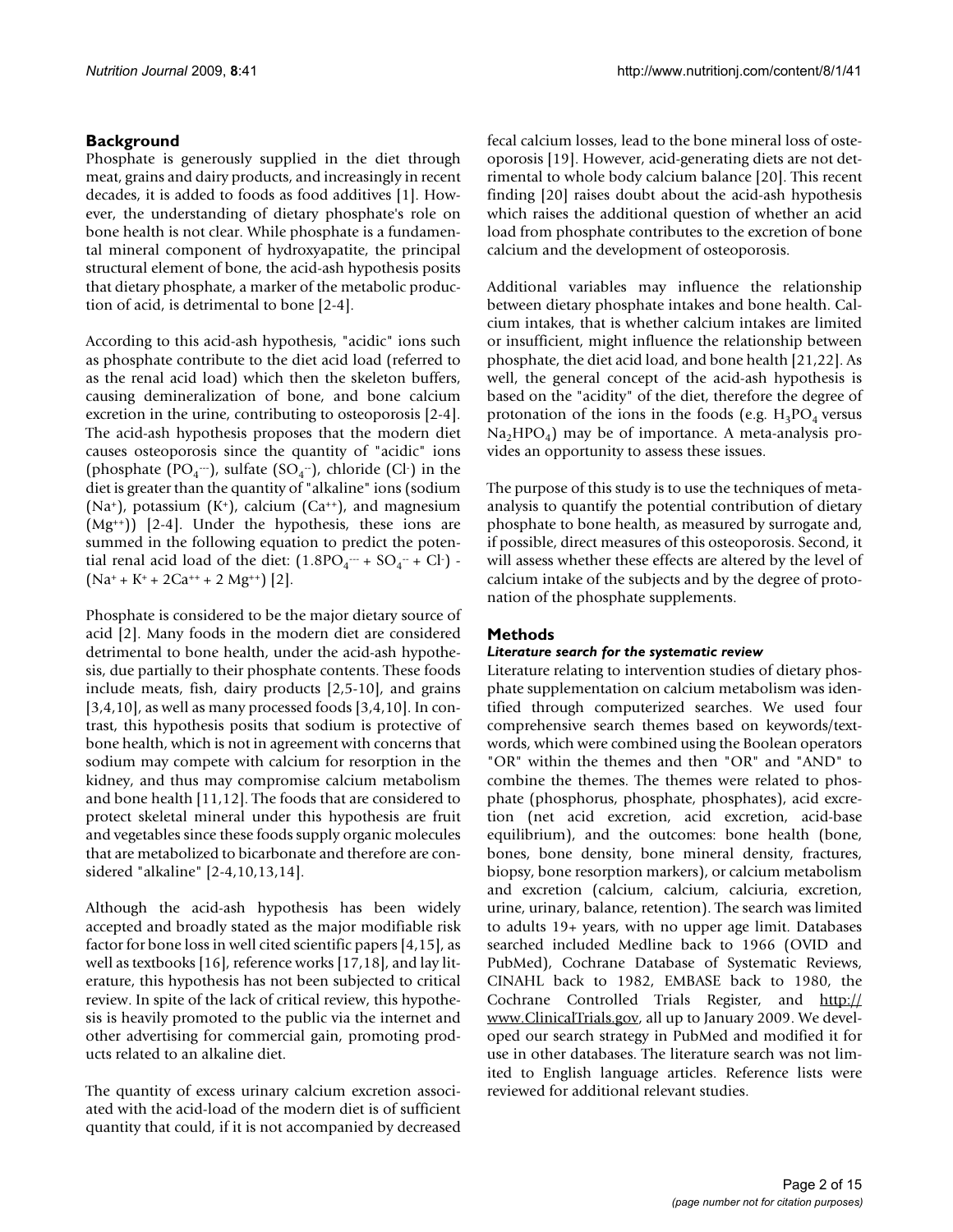### **Background**

Phosphate is generously supplied in the diet through meat, grains and dairy products, and increasingly in recent decades, it is added to foods as food additives [1]. However, the understanding of dietary phosphate's role on bone health is not clear. While phosphate is a fundamental mineral component of hydroxyapatite, the principal structural element of bone, the acid-ash hypothesis posits that dietary phosphate, a marker of the metabolic production of acid, is detrimental to bone [2-4].

According to this acid-ash hypothesis, "acidic" ions such as phosphate contribute to the diet acid load (referred to as the renal acid load) which then the skeleton buffers, causing demineralization of bone, and bone calcium excretion in the urine, contributing to osteoporosis [2-4]. The acid-ash hypothesis proposes that the modern diet causes osteoporosis since the quantity of "acidic" ions (phosphate  $(PO<sub>4</sub>...)$ , sulfate  $(SO<sub>4</sub>...)$ , chloride  $(Cl<sup>+</sup>)$  in the diet is greater than the quantity of "alkaline" ions (sodium  $(Na<sup>+</sup>)$ , potassium  $(K<sup>+</sup>)$ , calcium  $(Ca<sup>++</sup>)$ , and magnesium  $(Mg<sup>++</sup>)$ ) [2-4]. Under the hypothesis, these ions are summed in the following equation to predict the potential renal acid load of the diet:  $(1.8PO<sub>4</sub><sup>-</sup> + SO<sub>4</sub><sup>-</sup> + Cl<sup>-</sup>) (Na^{+} + K^{+} + 2Ca^{++} + 2 Mg^{++})$  [2].

Phosphate is considered to be the major dietary source of acid [2]. Many foods in the modern diet are considered detrimental to bone health, under the acid-ash hypothesis, due partially to their phosphate contents. These foods include meats, fish, dairy products [2,5-10], and grains  $[3,4,10]$ , as well as many processed foods  $[3,4,10]$ . In contrast, this hypothesis posits that sodium is protective of bone health, which is not in agreement with concerns that sodium may compete with calcium for resorption in the kidney, and thus may compromise calcium metabolism and bone health [11,12]. The foods that are considered to protect skeletal mineral under this hypothesis are fruit and vegetables since these foods supply organic molecules that are metabolized to bicarbonate and therefore are considered "alkaline" [2-4,10,13,14].

Although the acid-ash hypothesis has been widely accepted and broadly stated as the major modifiable risk factor for bone loss in well cited scientific papers [4,15], as well as textbooks [16], reference works [17,18], and lay literature, this hypothesis has not been subjected to critical review. In spite of the lack of critical review, this hypothesis is heavily promoted to the public via the internet and other advertising for commercial gain, promoting products related to an alkaline diet.

The quantity of excess urinary calcium excretion associated with the acid-load of the modern diet is of sufficient quantity that could, if it is not accompanied by decreased fecal calcium losses, lead to the bone mineral loss of osteoporosis [19]. However, acid-generating diets are not detrimental to whole body calcium balance [20]. This recent finding [20] raises doubt about the acid-ash hypothesis which raises the additional question of whether an acid load from phosphate contributes to the excretion of bone calcium and the development of osteoporosis.

Additional variables may influence the relationship between dietary phosphate intakes and bone health. Calcium intakes, that is whether calcium intakes are limited or insufficient, might influence the relationship between phosphate, the diet acid load, and bone health [21,22]. As well, the general concept of the acid-ash hypothesis is based on the "acidity" of the diet, therefore the degree of protonation of the ions in the foods (e.g.  $H_3PO_4$  versus  $Na<sub>2</sub>HPO<sub>4</sub>$ ) may be of importance. A meta-analysis provides an opportunity to assess these issues.

The purpose of this study is to use the techniques of metaanalysis to quantify the potential contribution of dietary phosphate to bone health, as measured by surrogate and, if possible, direct measures of this osteoporosis. Second, it will assess whether these effects are altered by the level of calcium intake of the subjects and by the degree of protonation of the phosphate supplements.

### **Methods**

#### *Literature search for the systematic review*

Literature relating to intervention studies of dietary phosphate supplementation on calcium metabolism was identified through computerized searches. We used four comprehensive search themes based on keywords/textwords, which were combined using the Boolean operators "OR" within the themes and then "OR" and "AND" to combine the themes. The themes were related to phosphate (phosphorus, phosphate, phosphates), acid excretion (net acid excretion, acid excretion, acid-base equilibrium), and the outcomes: bone health (bone, bones, bone density, bone mineral density, fractures, biopsy, bone resorption markers), or calcium metabolism and excretion (calcium, calcium, calciuria, excretion, urine, urinary, balance, retention). The search was limited to adults 19+ years, with no upper age limit. Databases searched included Medline back to 1966 (OVID and PubMed), Cochrane Database of Systematic Reviews, CINAHL back to 1982, EMBASE back to 1980, the Cochrane Controlled Trials Register, and [http://](http://www.ClinicalTrials.gov) [www.ClinicalTrials.gov](http://www.ClinicalTrials.gov), all up to January 2009. We developed our search strategy in PubMed and modified it for use in other databases. The literature search was not limited to English language articles. Reference lists were reviewed for additional relevant studies.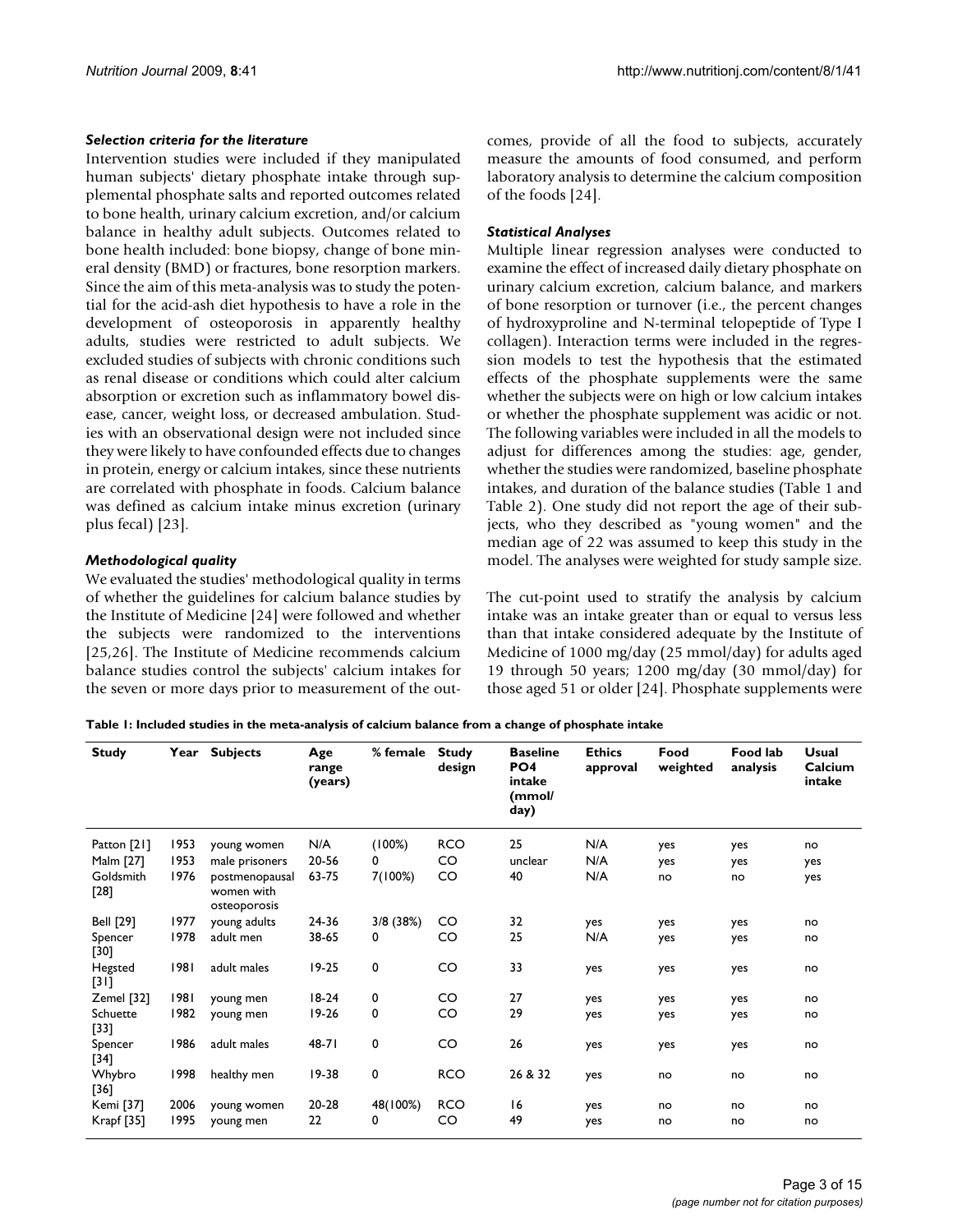#### *Selection criteria for the literature*

Intervention studies were included if they manipulated human subjects' dietary phosphate intake through supplemental phosphate salts and reported outcomes related to bone health, urinary calcium excretion, and/or calcium balance in healthy adult subjects. Outcomes related to bone health included: bone biopsy, change of bone mineral density (BMD) or fractures, bone resorption markers. Since the aim of this meta-analysis was to study the potential for the acid-ash diet hypothesis to have a role in the development of osteoporosis in apparently healthy adults, studies were restricted to adult subjects. We excluded studies of subjects with chronic conditions such as renal disease or conditions which could alter calcium absorption or excretion such as inflammatory bowel disease, cancer, weight loss, or decreased ambulation. Studies with an observational design were not included since they were likely to have confounded effects due to changes in protein, energy or calcium intakes, since these nutrients are correlated with phosphate in foods. Calcium balance was defined as calcium intake minus excretion (urinary plus fecal) [23].

#### *Methodological quality*

We evaluated the studies' methodological quality in terms of whether the guidelines for calcium balance studies by the Institute of Medicine [24] were followed and whether the subjects were randomized to the interventions [25,26]. The Institute of Medicine recommends calcium balance studies control the subjects' calcium intakes for the seven or more days prior to measurement of the outcomes, provide of all the food to subjects, accurately measure the amounts of food consumed, and perform laboratory analysis to determine the calcium composition of the foods [24].

#### *Statistical Analyses*

Multiple linear regression analyses were conducted to examine the effect of increased daily dietary phosphate on urinary calcium excretion, calcium balance, and markers of bone resorption or turnover (i.e., the percent changes of hydroxyproline and N-terminal telopeptide of Type I collagen). Interaction terms were included in the regression models to test the hypothesis that the estimated effects of the phosphate supplements were the same whether the subjects were on high or low calcium intakes or whether the phosphate supplement was acidic or not. The following variables were included in all the models to adjust for differences among the studies: age, gender, whether the studies were randomized, baseline phosphate intakes, and duration of the balance studies (Table 1 and Table 2). One study did not report the age of their subjects, who they described as "young women" and the median age of 22 was assumed to keep this study in the model. The analyses were weighted for study sample size.

The cut-point used to stratify the analysis by calcium intake was an intake greater than or equal to versus less than that intake considered adequate by the Institute of Medicine of 1000 mg/day (25 mmol/day) for adults aged 19 through 50 years; 1200 mg/day (30 mmol/day) for those aged 51 or older [24]. Phosphate supplements were

**Table 1: Included studies in the meta-analysis of calcium balance from a change of phosphate intake**

| <b>Study</b>        | Year | <b>Subjects</b>                              | Age<br>range<br>(years) | % female  | <b>Study</b><br>design | <b>Baseline</b><br>PO <sub>4</sub><br>intake<br>(mmol/<br>day) | <b>Ethics</b><br>approval | Food<br>weighted | <b>Food lab</b><br>analysis | <b>Usual</b><br>Calcium<br>intake |
|---------------------|------|----------------------------------------------|-------------------------|-----------|------------------------|----------------------------------------------------------------|---------------------------|------------------|-----------------------------|-----------------------------------|
| Patton [21]         | 1953 | young women                                  | N/A                     | (100%)    | <b>RCO</b>             | 25                                                             | N/A                       | yes              | yes                         | no                                |
| Malm [27]           | 1953 | male prisoners                               | 20-56                   | 0         | CO                     | unclear                                                        | N/A                       | yes              | yes                         | yes                               |
| Goldsmith<br>$[28]$ | 1976 | postmenopausal<br>women with<br>osteoporosis | 63-75                   | 7(100%)   | CO                     | 40                                                             | N/A                       | no               | no                          | yes                               |
| <b>Bell</b> [29]    | 1977 | young adults                                 | 24-36                   | 3/8 (38%) | CO                     | 32                                                             | yes                       | yes              | yes                         | no                                |
| Spencer<br>[30]     | 1978 | adult men                                    | 38-65                   | 0         | CO                     | 25                                                             | N/A                       | yes              | yes                         | no                                |
| Hegsted<br>$[31]$   | 1981 | adult males                                  | $19 - 25$               | 0         | CO                     | 33                                                             | yes                       | yes              | yes                         | no                                |
| Zemel [32]          | 1981 | young men                                    | $18-24$                 | 0         | CO                     | 27                                                             | yes                       | yes              | yes                         | no                                |
| Schuette<br>$[33]$  | 1982 | young men                                    | $19 - 26$               | 0         | CO                     | 29                                                             | yes                       | yes              | yes                         | no                                |
| Spencer<br>$[34]$   | 1986 | adult males                                  | 48-71                   | 0         | CO                     | 26                                                             | yes                       | yes              | yes                         | no                                |
| Whybro<br>[36]      | 1998 | healthy men                                  | $19 - 38$               | 0         | <b>RCO</b>             | 26 & 32                                                        | yes                       | no               | no                          | no                                |
| Kemi [37]           | 2006 | young women                                  | 20-28                   | 48(100%)  | <b>RCO</b>             | 16                                                             | yes                       | no               | no                          | no                                |
| Krapf[35]           | 1995 | young men                                    | 22                      | 0         | CO                     | 49                                                             | yes                       | no               | no                          | no                                |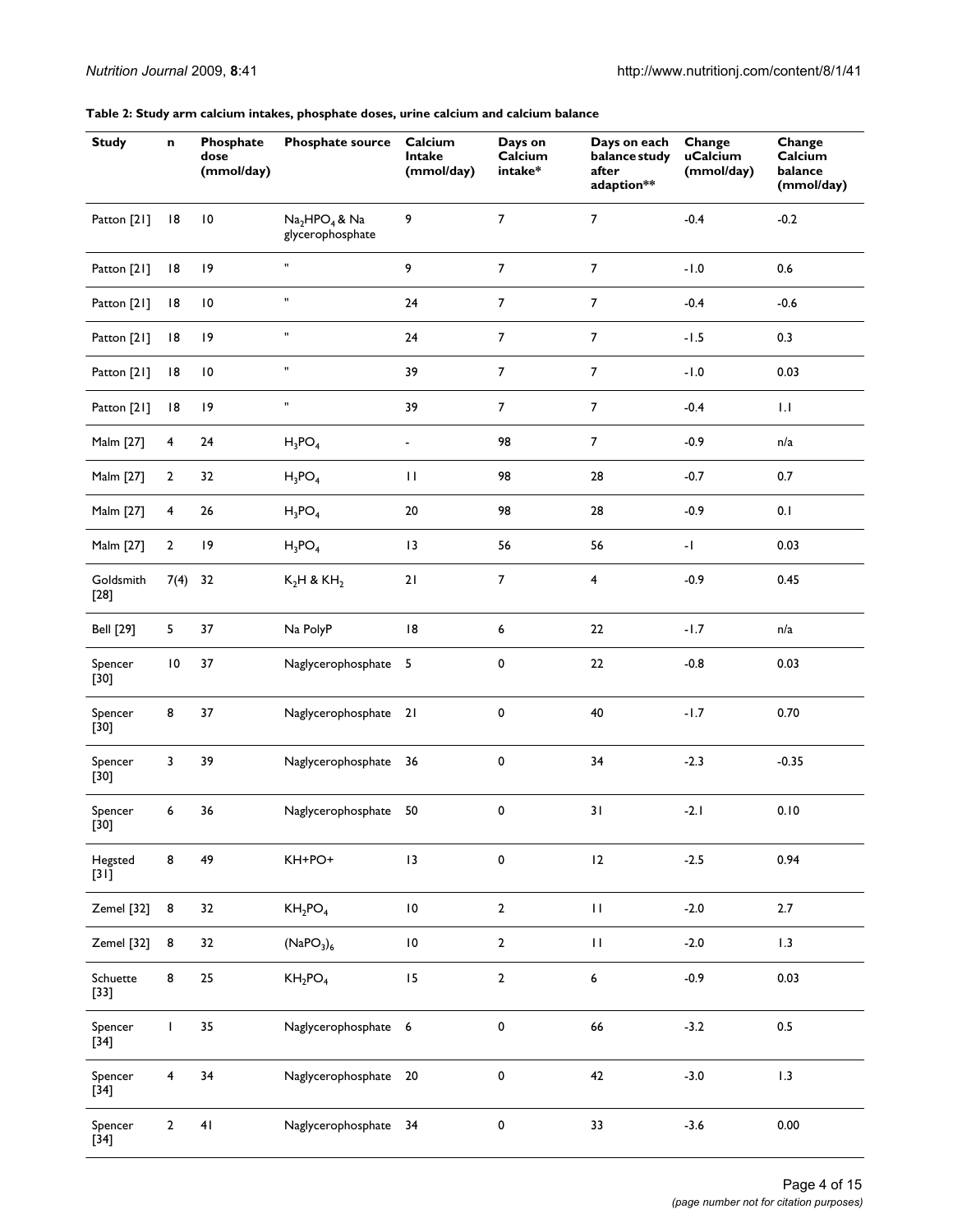#### **Table 2: Study arm calcium intakes, phosphate doses, urine calcium and calcium balance**

| <b>Study</b>        | n               | Phosphate<br>dose<br>(mmol/day) | Phosphate source                   | Calcium<br>Intake<br>(mmol/day) | Days on<br>Calcium<br>intake* | Days on each<br>balance study<br>after<br>adaption** | Change<br>uCalcium<br>(mmol/day) | Change<br>Calcium<br>balance<br>(mmol/day) |
|---------------------|-----------------|---------------------------------|------------------------------------|---------------------------------|-------------------------------|------------------------------------------------------|----------------------------------|--------------------------------------------|
| Patton [21]         | 8               | $\overline{10}$                 | $Na2HPO4$ & Na<br>glycerophosphate | 9                               | 7                             | $\overline{7}$                                       | $-0.4$                           | $-0.2$                                     |
| Patton [21]         | 18              | 9                               | $\mathbf{H}$                       | 9                               | $\boldsymbol{7}$              | $\overline{7}$                                       | $-1.0$                           | 0.6                                        |
| Patton [21]         | 8               | $\overline{\phantom{0}}$ 10     | н                                  | 24                              | $\boldsymbol{7}$              | $\boldsymbol{7}$                                     | $-0.4$                           | $-0.6$                                     |
| Patton [21]         | 18              | 9                               | $\mathbf{u}$                       | 24                              | $\boldsymbol{7}$              | $\boldsymbol{7}$                                     | $-1.5$                           | 0.3                                        |
| Patton [21]         | 8               | $\overline{\phantom{0}}$ 10     | $\mathbf u$                        | 39                              | $\boldsymbol{7}$              | $\boldsymbol{7}$                                     | $-1.0$                           | 0.03                                       |
| Patton [21]         | 18              | 9                               | н                                  | 39                              | $\overline{7}$                | $\overline{7}$                                       | $-0.4$                           | 1.1                                        |
| Malm [27]           | 4               | 24                              | $H_3PO_4$                          | $\blacksquare$                  | 98                            | $\overline{7}$                                       | $-0.9$                           | n/a                                        |
| Malm [27]           | $\mathbf{2}$    | 32                              | $H_3PO_4$                          | $\mathbf{H}$                    | 98                            | 28                                                   | $-0.7$                           | 0.7                                        |
| Malm [27]           | 4               | 26                              | $H_3PO_4$                          | $20\,$                          | 98                            | 28                                                   | $-0.9$                           | 0.1                                        |
| Malm [27]           | $\mathbf{2}$    | 9                               | $H_3PO_4$                          | 13                              | 56                            | 56                                                   | $-1$                             | 0.03                                       |
| Goldsmith<br>$[28]$ | 7(4)            | 32                              | $K_2H$ & $KH_2$                    | 21                              | $\overline{7}$                | 4                                                    | $-0.9$                           | 0.45                                       |
| <b>Bell</b> [29]    | 5               | 37                              | Na PolyP                           | 18                              | 6                             | 22                                                   | $-1.7$                           | n/a                                        |
| Spencer<br>$[30]$   | $\overline{10}$ | 37                              | Naglycerophosphate 5               |                                 | $\pmb{0}$                     | 22                                                   | $-0.8$                           | 0.03                                       |
| Spencer<br>$[30]$   | 8               | 37                              | Naglycerophosphate 21              |                                 | 0                             | 40                                                   | $-1.7$                           | 0.70                                       |
| Spencer<br>$[30]$   | 3               | 39                              | Naglycerophosphate                 | 36                              | 0                             | $34$                                                 | $-2.3$                           | $-0.35$                                    |
| Spencer<br>$[30]$   | 6               | 36                              | Naglycerophosphate 50              |                                 | 0                             | 31                                                   | $-2.1$                           | 0.10                                       |
| Hegsted<br>$[31]$   | 8               | 49                              | KH+PO+                             | 13                              | $\pmb{0}$                     | 12                                                   | $-2.5$                           | 0.94                                       |
| Zemel [32]          | 8               | 32                              | $KH_2PO_4$                         | $\,$ l $\,$                     | $\mathbf 2$                   | $\mathbf{H}% _{0}$                                   | $-2.0$                           | $2.7\,$                                    |
| Zemel [32]          | 8               | 32                              | (NaPO <sub>3</sub> ) <sub>6</sub>  | $\,$ l $\,$                     | $\mathbf 2$                   | $\mathbf{H}% _{0}$                                   | $-2.0$                           | 1.3                                        |
| Schuette<br>$[33]$  | 8               | 25                              | $KH_2PO_4$                         | 15                              | $\mathbf{2}$                  | 6                                                    | $-0.9$                           | 0.03                                       |
| Spencer<br>$[34]$   | I               | 35                              | Naglycerophosphate 6               |                                 | $\pmb{0}$                     | 66                                                   | $-3.2$                           | $0.5\,$                                    |
| Spencer<br>$[34]$   | 4               | 34                              | Naglycerophosphate                 | 20                              | $\pmb{0}$                     | 42                                                   | $-3.0$                           | 1.3                                        |
| Spencer<br>$[34]$   | $\mathbf{2}$    | 41                              | Naglycerophosphate                 | 34                              | $\pmb{0}$                     | 33                                                   | $-3.6$                           | 0.00                                       |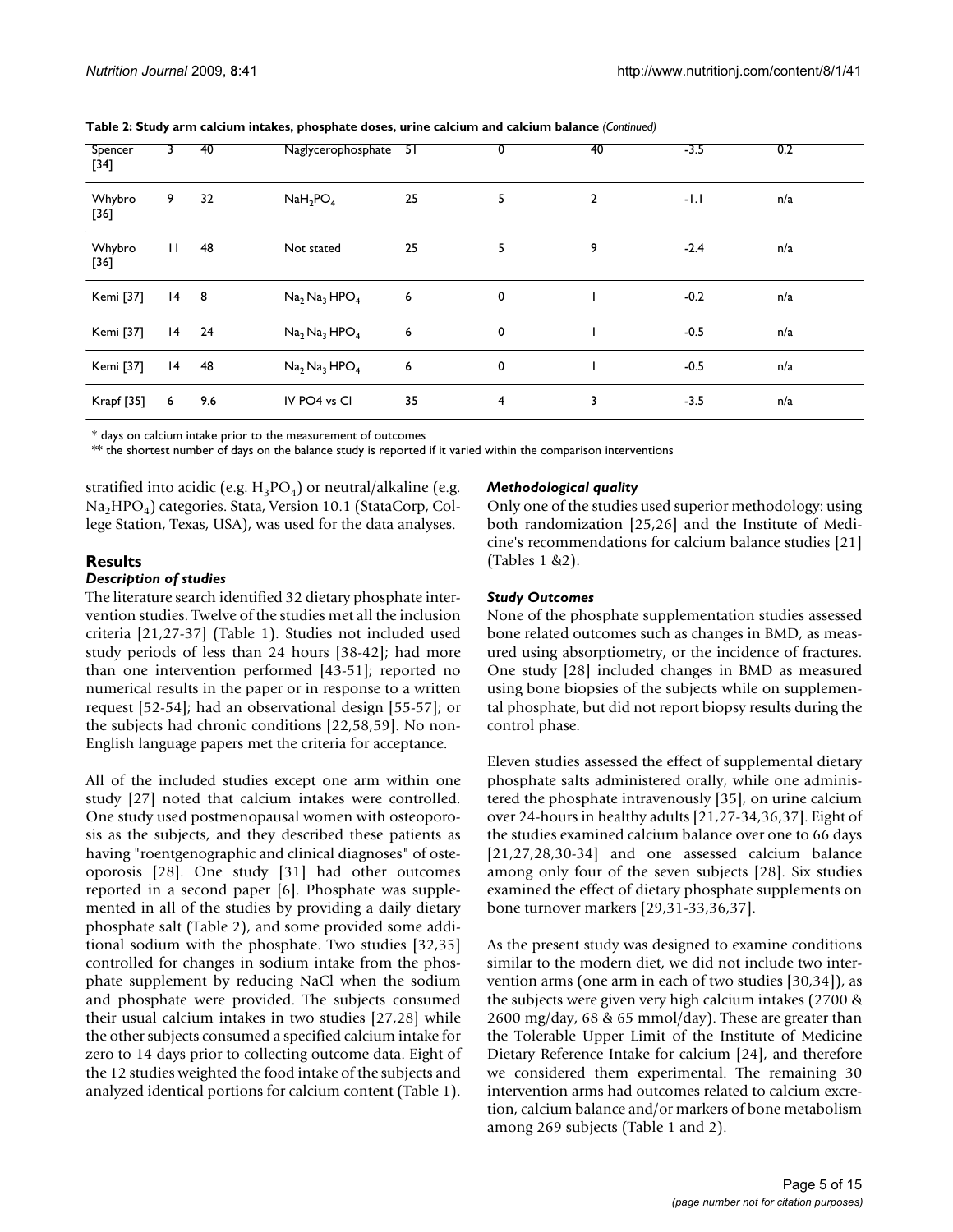| Spencer<br>$[34]$ | 3            | 40  | Naglycerophosphate | $\overline{51}$ | 0           | 40             | $-3.5$ | 0.2 |
|-------------------|--------------|-----|--------------------|-----------------|-------------|----------------|--------|-----|
| Whybro<br>$[36]$  | 9            | 32  | $NaH_2PO_4$        | 25              | 5           | $\overline{2}$ | $-1.1$ | n/a |
| Whybro<br>$[36]$  | $\mathbf{H}$ | 48  | Not stated         | 25              | 5           | 9              | $-2.4$ | n/a |
| Kemi [37]         | $14 \quad 8$ |     | $Na2 Na3 HPO4$     | 6               | 0           |                | $-0.2$ | n/a |
| Kemi [37]         | 4            | 24  | $Na2 Na3 HPO4$     | 6               | 0           |                | $-0.5$ | n/a |
| Kemi [37]         | 4            | 48  | $Na2 Na3 HPO4$     | 6               | $\mathbf 0$ |                | $-0.5$ | n/a |
| Krapf [35]        | 6            | 9.6 | IV PO4 vs Cl       | 35              | 4           | 3              | $-3.5$ | n/a |

**Table 2: Study arm calcium intakes, phosphate doses, urine calcium and calcium balance** *(Continued)*

\* days on calcium intake prior to the measurement of outcomes

\*\* the shortest number of days on the balance study is reported if it varied within the comparison interventions

stratified into acidic (e.g.  $H_3PO_4$ ) or neutral/alkaline (e.g. Na<sub>2</sub>HPO<sub>4</sub>) categories. Stata, Version 10.1 (StataCorp, College Station, Texas, USA), was used for the data analyses.

#### **Results**

#### *Description of studies*

The literature search identified 32 dietary phosphate intervention studies. Twelve of the studies met all the inclusion criteria [21,27-37] (Table 1). Studies not included used study periods of less than 24 hours [38-42]; had more than one intervention performed [43-51]; reported no numerical results in the paper or in response to a written request [52-54]; had an observational design [55-57]; or the subjects had chronic conditions [22,58,59]. No non-English language papers met the criteria for acceptance.

All of the included studies except one arm within one study [27] noted that calcium intakes were controlled. One study used postmenopausal women with osteoporosis as the subjects, and they described these patients as having "roentgenographic and clinical diagnoses" of osteoporosis [28]. One study [31] had other outcomes reported in a second paper [6]. Phosphate was supplemented in all of the studies by providing a daily dietary phosphate salt (Table 2), and some provided some additional sodium with the phosphate. Two studies [32,35] controlled for changes in sodium intake from the phosphate supplement by reducing NaCl when the sodium and phosphate were provided. The subjects consumed their usual calcium intakes in two studies [27,28] while the other subjects consumed a specified calcium intake for zero to 14 days prior to collecting outcome data. Eight of the 12 studies weighted the food intake of the subjects and analyzed identical portions for calcium content (Table 1).

#### *Methodological quality*

Only one of the studies used superior methodology: using both randomization [25,26] and the Institute of Medicine's recommendations for calcium balance studies [21] (Tables 1 &2).

#### *Study Outcomes*

None of the phosphate supplementation studies assessed bone related outcomes such as changes in BMD, as measured using absorptiometry, or the incidence of fractures. One study [28] included changes in BMD as measured using bone biopsies of the subjects while on supplemental phosphate, but did not report biopsy results during the control phase.

Eleven studies assessed the effect of supplemental dietary phosphate salts administered orally, while one administered the phosphate intravenously [35], on urine calcium over 24-hours in healthy adults [21,27-34,36,37]. Eight of the studies examined calcium balance over one to 66 days [21,27,28,30-34] and one assessed calcium balance among only four of the seven subjects [28]. Six studies examined the effect of dietary phosphate supplements on bone turnover markers [29,31-33,36,37].

As the present study was designed to examine conditions similar to the modern diet, we did not include two intervention arms (one arm in each of two studies [30,34]), as the subjects were given very high calcium intakes (2700 & 2600 mg/day, 68 & 65 mmol/day). These are greater than the Tolerable Upper Limit of the Institute of Medicine Dietary Reference Intake for calcium [24], and therefore we considered them experimental. The remaining 30 intervention arms had outcomes related to calcium excretion, calcium balance and/or markers of bone metabolism among 269 subjects (Table 1 and 2).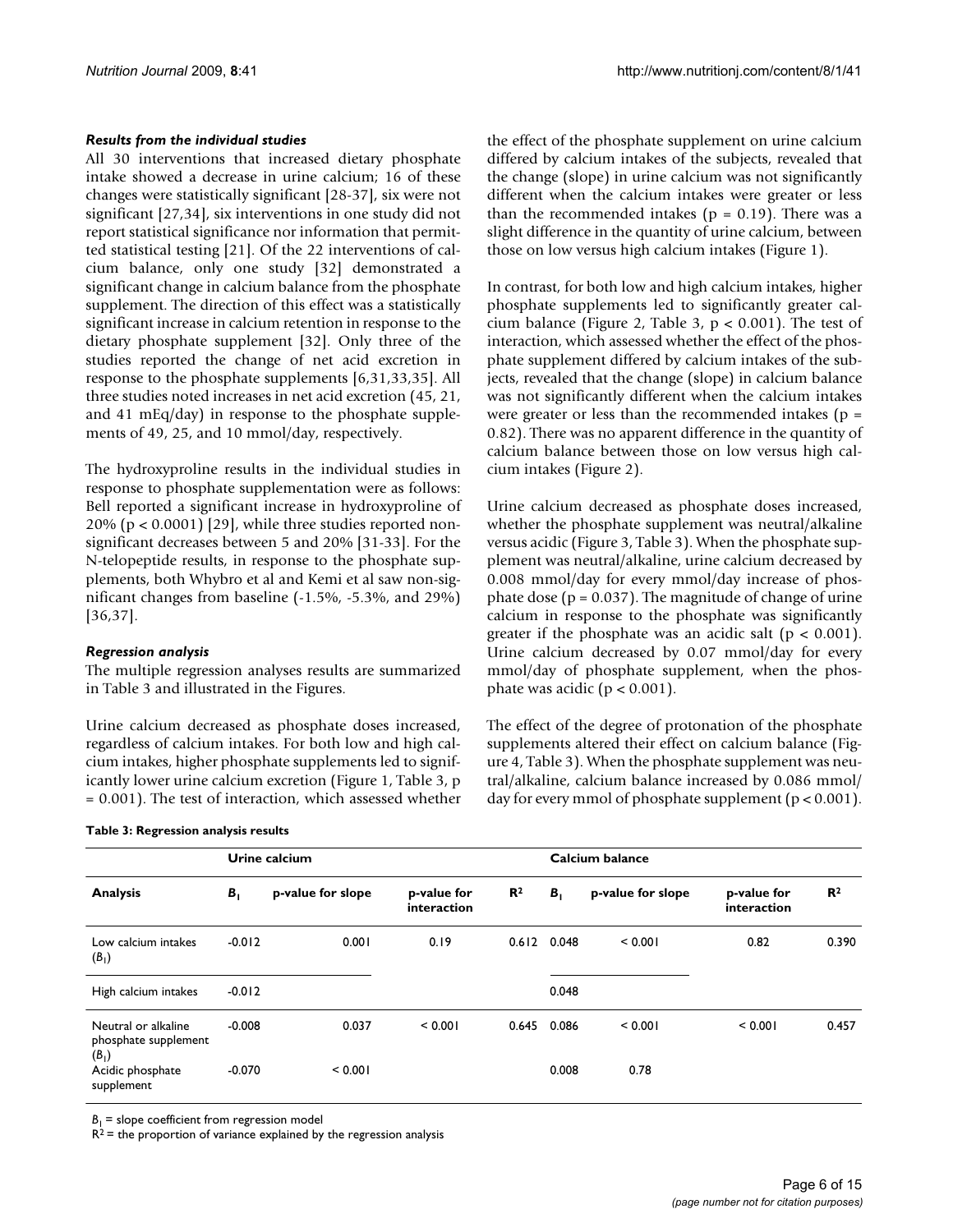#### *Results from the individual studies*

All 30 interventions that increased dietary phosphate intake showed a decrease in urine calcium; 16 of these changes were statistically significant [28-37], six were not significant [27,34], six interventions in one study did not report statistical significance nor information that permitted statistical testing [21]. Of the 22 interventions of calcium balance, only one study [32] demonstrated a significant change in calcium balance from the phosphate supplement. The direction of this effect was a statistically significant increase in calcium retention in response to the dietary phosphate supplement [32]. Only three of the studies reported the change of net acid excretion in response to the phosphate supplements [6,31,33,35]. All three studies noted increases in net acid excretion (45, 21, and 41 mEq/day) in response to the phosphate supplements of 49, 25, and 10 mmol/day, respectively.

The hydroxyproline results in the individual studies in response to phosphate supplementation were as follows: Bell reported a significant increase in hydroxyproline of 20% ( $p < 0.0001$ ) [29], while three studies reported nonsignificant decreases between 5 and 20% [31-33]. For the N-telopeptide results, in response to the phosphate supplements, both Whybro et al and Kemi et al saw non-significant changes from baseline (-1.5%, -5.3%, and 29%) [36,37].

#### *Regression analysis*

The multiple regression analyses results are summarized in Table 3 and illustrated in the Figures.

Urine calcium decreased as phosphate doses increased, regardless of calcium intakes. For both low and high calcium intakes, higher phosphate supplements led to significantly lower urine calcium excretion (Figure 1, Table 3, p = 0.001). The test of interaction, which assessed whether

|  | Table 3: Regression analysis results |
|--|--------------------------------------|
|--|--------------------------------------|

the effect of the phosphate supplement on urine calcium differed by calcium intakes of the subjects, revealed that the change (slope) in urine calcium was not significantly different when the calcium intakes were greater or less than the recommended intakes ( $p = 0.19$ ). There was a slight difference in the quantity of urine calcium, between those on low versus high calcium intakes (Figure 1).

In contrast, for both low and high calcium intakes, higher phosphate supplements led to significantly greater calcium balance (Figure 2, Table 3,  $p < 0.001$ ). The test of interaction, which assessed whether the effect of the phosphate supplement differed by calcium intakes of the subjects, revealed that the change (slope) in calcium balance was not significantly different when the calcium intakes were greater or less than the recommended intakes ( $p =$ 0.82). There was no apparent difference in the quantity of calcium balance between those on low versus high calcium intakes (Figure 2).

Urine calcium decreased as phosphate doses increased, whether the phosphate supplement was neutral/alkaline versus acidic (Figure 3, Table 3). When the phosphate supplement was neutral/alkaline, urine calcium decreased by 0.008 mmol/day for every mmol/day increase of phosphate dose ( $p = 0.037$ ). The magnitude of change of urine calcium in response to the phosphate was significantly greater if the phosphate was an acidic salt ( $p < 0.001$ ). Urine calcium decreased by 0.07 mmol/day for every mmol/day of phosphate supplement, when the phosphate was acidic ( $p < 0.001$ ).

The effect of the degree of protonation of the phosphate supplements altered their effect on calcium balance (Figure 4, Table 3). When the phosphate supplement was neutral/alkaline, calcium balance increased by 0.086 mmol/ day for every mmol of phosphate supplement ( $p < 0.001$ ).

|                                                        | Urine calcium  |                   |                            |                |                | Calcium balance   |                            |                |  |
|--------------------------------------------------------|----------------|-------------------|----------------------------|----------------|----------------|-------------------|----------------------------|----------------|--|
| <b>Analysis</b>                                        | B <sub>1</sub> | p-value for slope | p-value for<br>interaction | R <sup>2</sup> | B <sub>1</sub> | p-value for slope | p-value for<br>interaction | R <sup>2</sup> |  |
| Low calcium intakes<br>$(B_1)$                         | $-0.012$       | 0.001             | 0.19                       | 0.612          | 0.048          | < 0.001           | 0.82                       | 0.390          |  |
| High calcium intakes                                   | $-0.012$       |                   |                            |                | 0.048          |                   |                            |                |  |
| Neutral or alkaline<br>phosphate supplement<br>$(B_1)$ | $-0.008$       | 0.037             | < 0.001                    | 0.645          | 0.086          | < 0.001           | < 0.001                    | 0.457          |  |
| Acidic phosphate<br>supplement                         | $-0.070$       | < 0.001           |                            |                | 0.008          | 0.78              |                            |                |  |

 $B_1$  = slope coefficient from regression model

 $R^2$  = the proportion of variance explained by the regression analysis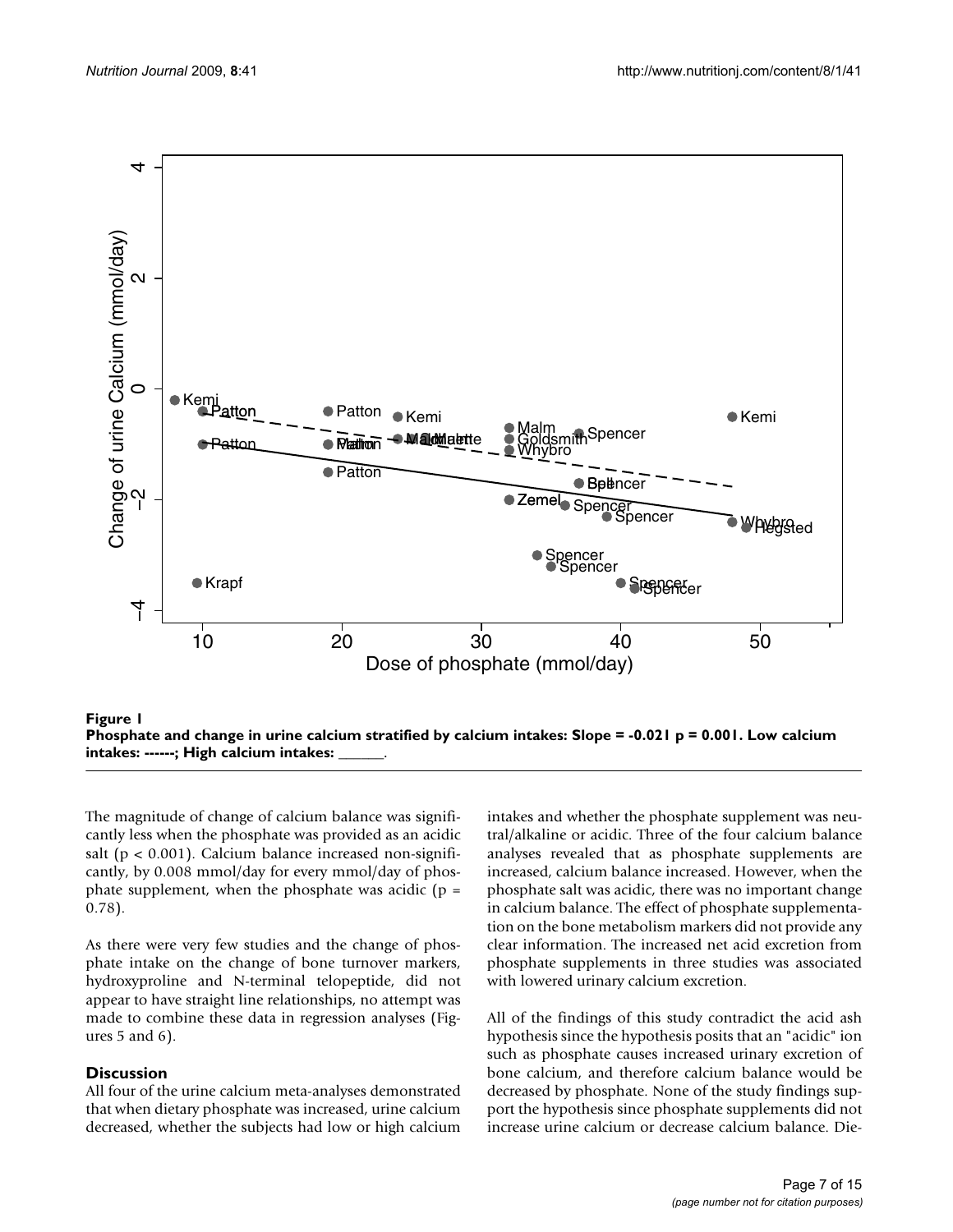

**Phosphate and change in urine calcium stratified by calcium intakes: Slope = -0.021 p = 0.001. Low calcium**  intakes: ------; High calcium intakes:

The magnitude of change of calcium balance was significantly less when the phosphate was provided as an acidic salt ( $p < 0.001$ ). Calcium balance increased non-significantly, by 0.008 mmol/day for every mmol/day of phosphate supplement, when the phosphate was acidic ( $p =$ 0.78).

As there were very few studies and the change of phosphate intake on the change of bone turnover markers, hydroxyproline and N-terminal telopeptide, did not appear to have straight line relationships, no attempt was made to combine these data in regression analyses (Figures 5 and 6).

#### **Discussion**

All four of the urine calcium meta-analyses demonstrated that when dietary phosphate was increased, urine calcium decreased, whether the subjects had low or high calcium

intakes and whether the phosphate supplement was neutral/alkaline or acidic. Three of the four calcium balance analyses revealed that as phosphate supplements are increased, calcium balance increased. However, when the phosphate salt was acidic, there was no important change in calcium balance. The effect of phosphate supplementation on the bone metabolism markers did not provide any clear information. The increased net acid excretion from phosphate supplements in three studies was associated with lowered urinary calcium excretion.

All of the findings of this study contradict the acid ash hypothesis since the hypothesis posits that an "acidic" ion such as phosphate causes increased urinary excretion of bone calcium, and therefore calcium balance would be decreased by phosphate. None of the study findings support the hypothesis since phosphate supplements did not increase urine calcium or decrease calcium balance. Die-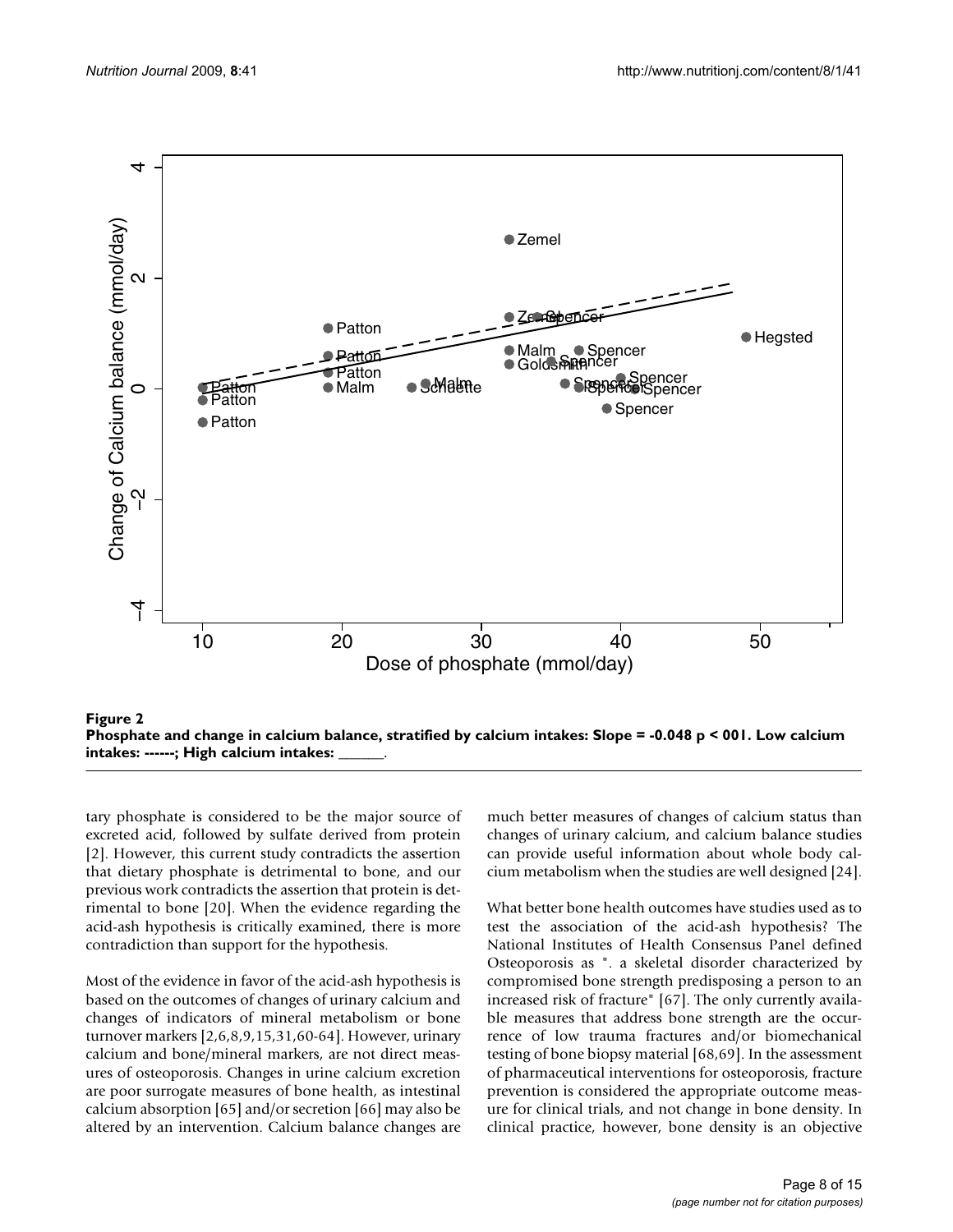

**Phosphate and change in calcium balance, stratified by calcium intakes: Slope = -0.048 p < 001. Low calcium**  intakes: ------; High calcium intakes:

tary phosphate is considered to be the major source of excreted acid, followed by sulfate derived from protein [2]. However, this current study contradicts the assertion that dietary phosphate is detrimental to bone, and our previous work contradicts the assertion that protein is detrimental to bone [20]. When the evidence regarding the acid-ash hypothesis is critically examined, there is more contradiction than support for the hypothesis.

Most of the evidence in favor of the acid-ash hypothesis is based on the outcomes of changes of urinary calcium and changes of indicators of mineral metabolism or bone turnover markers [2,6,8,9,15,31,60-64]. However, urinary calcium and bone/mineral markers, are not direct measures of osteoporosis. Changes in urine calcium excretion are poor surrogate measures of bone health, as intestinal calcium absorption [65] and/or secretion [66] may also be altered by an intervention. Calcium balance changes are much better measures of changes of calcium status than changes of urinary calcium, and calcium balance studies can provide useful information about whole body calcium metabolism when the studies are well designed [24].

What better bone health outcomes have studies used as to test the association of the acid-ash hypothesis? The National Institutes of Health Consensus Panel defined Osteoporosis as ". a skeletal disorder characterized by compromised bone strength predisposing a person to an increased risk of fracture" [67]. The only currently available measures that address bone strength are the occurrence of low trauma fractures and/or biomechanical testing of bone biopsy material [68,69]. In the assessment of pharmaceutical interventions for osteoporosis, fracture prevention is considered the appropriate outcome measure for clinical trials, and not change in bone density. In clinical practice, however, bone density is an objective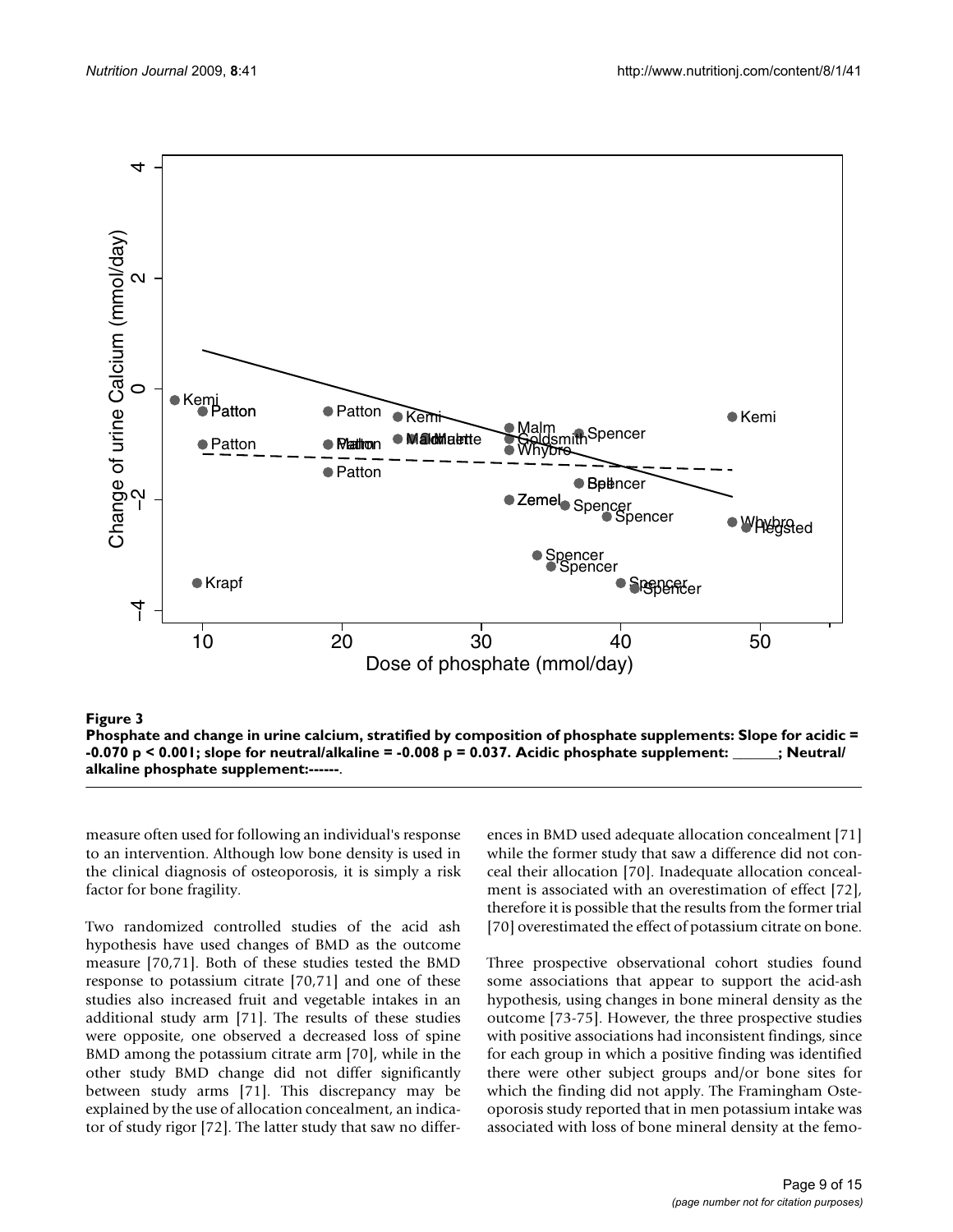

**Phosphate and change in urine calcium, stratified by composition of phosphate supplements: Slope for acidic = -0.070 p < 0.001; slope for neutral/alkaline = -0.008 p = 0.037. Acidic phosphate supplement: \_\_\_\_\_\_; Neutral/ alkaline phosphate supplement:------**.

measure often used for following an individual's response to an intervention. Although low bone density is used in the clinical diagnosis of osteoporosis, it is simply a risk factor for bone fragility.

Two randomized controlled studies of the acid ash hypothesis have used changes of BMD as the outcome measure [70,71]. Both of these studies tested the BMD response to potassium citrate [70,71] and one of these studies also increased fruit and vegetable intakes in an additional study arm [71]. The results of these studies were opposite, one observed a decreased loss of spine BMD among the potassium citrate arm [70], while in the other study BMD change did not differ significantly between study arms [71]. This discrepancy may be explained by the use of allocation concealment, an indicator of study rigor [72]. The latter study that saw no differences in BMD used adequate allocation concealment [71] while the former study that saw a difference did not conceal their allocation [70]. Inadequate allocation concealment is associated with an overestimation of effect [72], therefore it is possible that the results from the former trial [70] overestimated the effect of potassium citrate on bone.

Three prospective observational cohort studies found some associations that appear to support the acid-ash hypothesis, using changes in bone mineral density as the outcome [73-75]. However, the three prospective studies with positive associations had inconsistent findings, since for each group in which a positive finding was identified there were other subject groups and/or bone sites for which the finding did not apply. The Framingham Osteoporosis study reported that in men potassium intake was associated with loss of bone mineral density at the femo-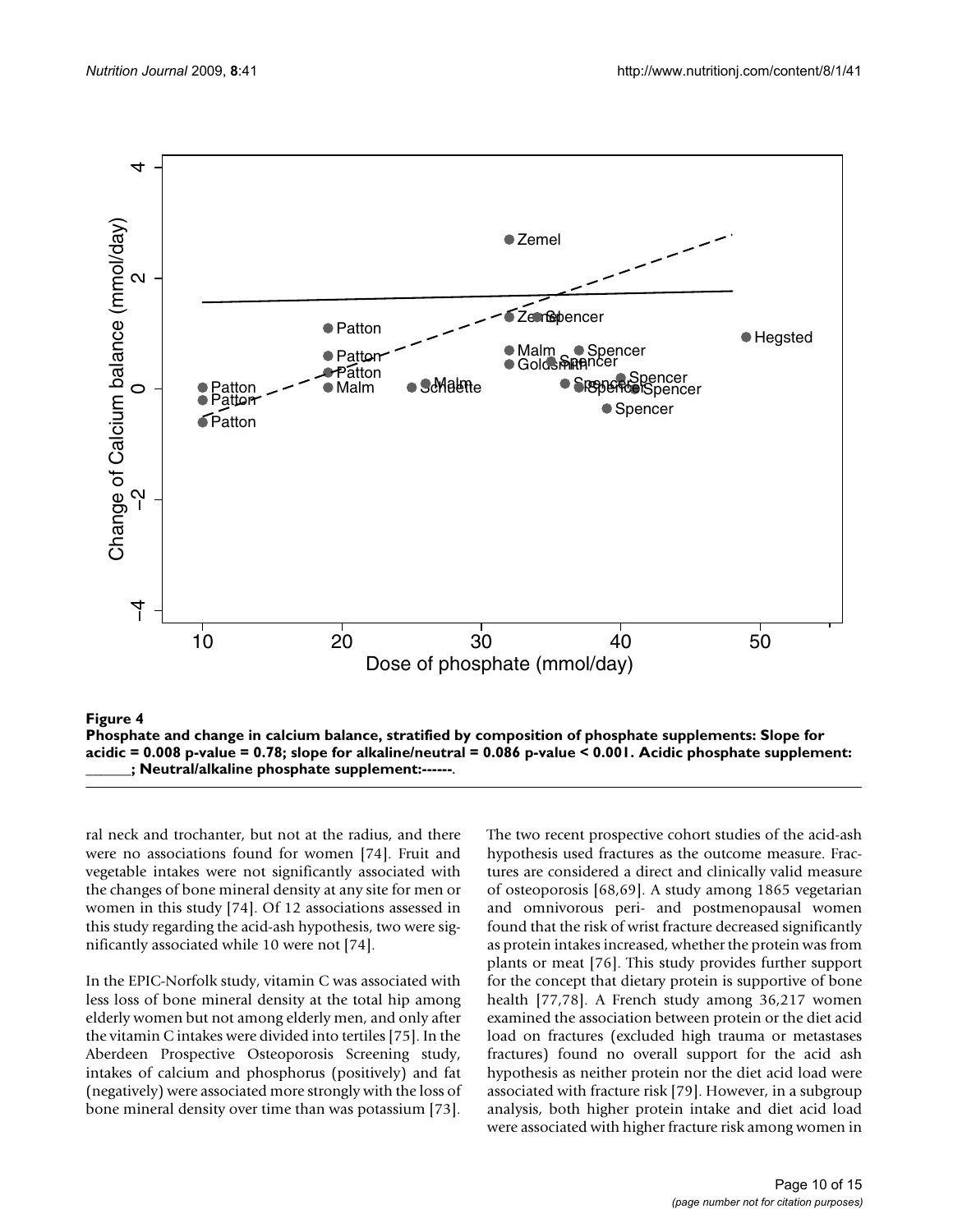

**Phosphate and change in calcium balance, stratified by composition of phosphate supplements: Slope for acidic = 0.008 p-value = 0.78; slope for alkaline/neutral = 0.086 p-value < 0.001. Acidic phosphate supplement: \_\_\_\_\_\_; Neutral/alkaline phosphate supplement:------**.

ral neck and trochanter, but not at the radius, and there were no associations found for women [74]. Fruit and vegetable intakes were not significantly associated with the changes of bone mineral density at any site for men or women in this study [74]. Of 12 associations assessed in this study regarding the acid-ash hypothesis, two were significantly associated while 10 were not [74].

In the EPIC-Norfolk study, vitamin C was associated with less loss of bone mineral density at the total hip among elderly women but not among elderly men, and only after the vitamin C intakes were divided into tertiles [75]. In the Aberdeen Prospective Osteoporosis Screening study, intakes of calcium and phosphorus (positively) and fat (negatively) were associated more strongly with the loss of bone mineral density over time than was potassium [73].

The two recent prospective cohort studies of the acid-ash hypothesis used fractures as the outcome measure. Fractures are considered a direct and clinically valid measure of osteoporosis [68,69]. A study among 1865 vegetarian and omnivorous peri- and postmenopausal women found that the risk of wrist fracture decreased significantly as protein intakes increased, whether the protein was from plants or meat [76]. This study provides further support for the concept that dietary protein is supportive of bone health [77,78]. A French study among 36,217 women examined the association between protein or the diet acid load on fractures (excluded high trauma or metastases fractures) found no overall support for the acid ash hypothesis as neither protein nor the diet acid load were associated with fracture risk [79]. However, in a subgroup analysis, both higher protein intake and diet acid load were associated with higher fracture risk among women in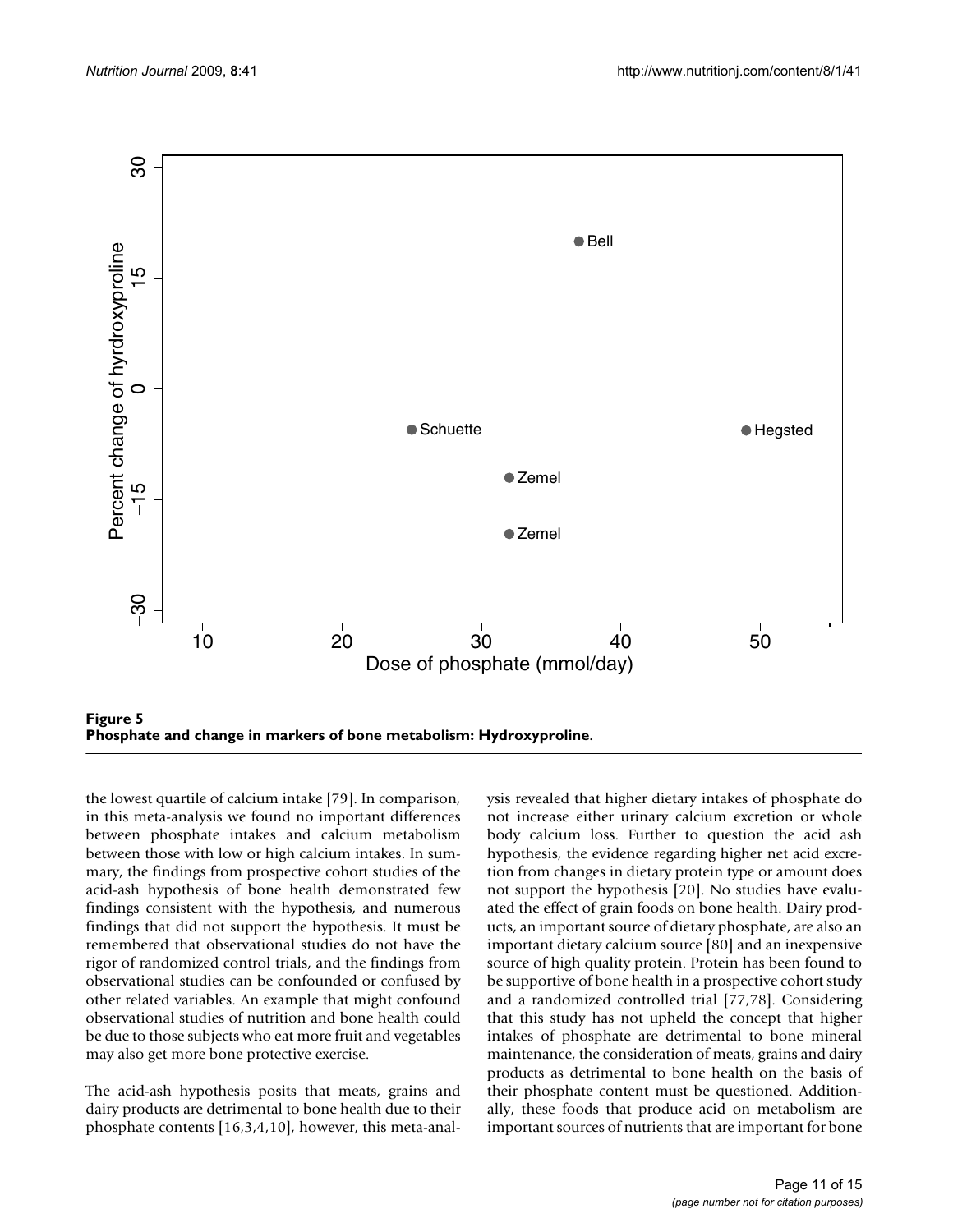

the lowest quartile of calcium intake [79]. In comparison, in this meta-analysis we found no important differences between phosphate intakes and calcium metabolism between those with low or high calcium intakes. In summary, the findings from prospective cohort studies of the acid-ash hypothesis of bone health demonstrated few findings consistent with the hypothesis, and numerous findings that did not support the hypothesis. It must be remembered that observational studies do not have the rigor of randomized control trials, and the findings from observational studies can be confounded or confused by other related variables. An example that might confound observational studies of nutrition and bone health could be due to those subjects who eat more fruit and vegetables may also get more bone protective exercise.

The acid-ash hypothesis posits that meats, grains and dairy products are detrimental to bone health due to their phosphate contents [16,3,4,10], however, this meta-analysis revealed that higher dietary intakes of phosphate do not increase either urinary calcium excretion or whole body calcium loss. Further to question the acid ash hypothesis, the evidence regarding higher net acid excretion from changes in dietary protein type or amount does not support the hypothesis [20]. No studies have evaluated the effect of grain foods on bone health. Dairy products, an important source of dietary phosphate, are also an important dietary calcium source [80] and an inexpensive source of high quality protein. Protein has been found to be supportive of bone health in a prospective cohort study and a randomized controlled trial [77,78]. Considering that this study has not upheld the concept that higher intakes of phosphate are detrimental to bone mineral maintenance, the consideration of meats, grains and dairy products as detrimental to bone health on the basis of their phosphate content must be questioned. Additionally, these foods that produce acid on metabolism are important sources of nutrients that are important for bone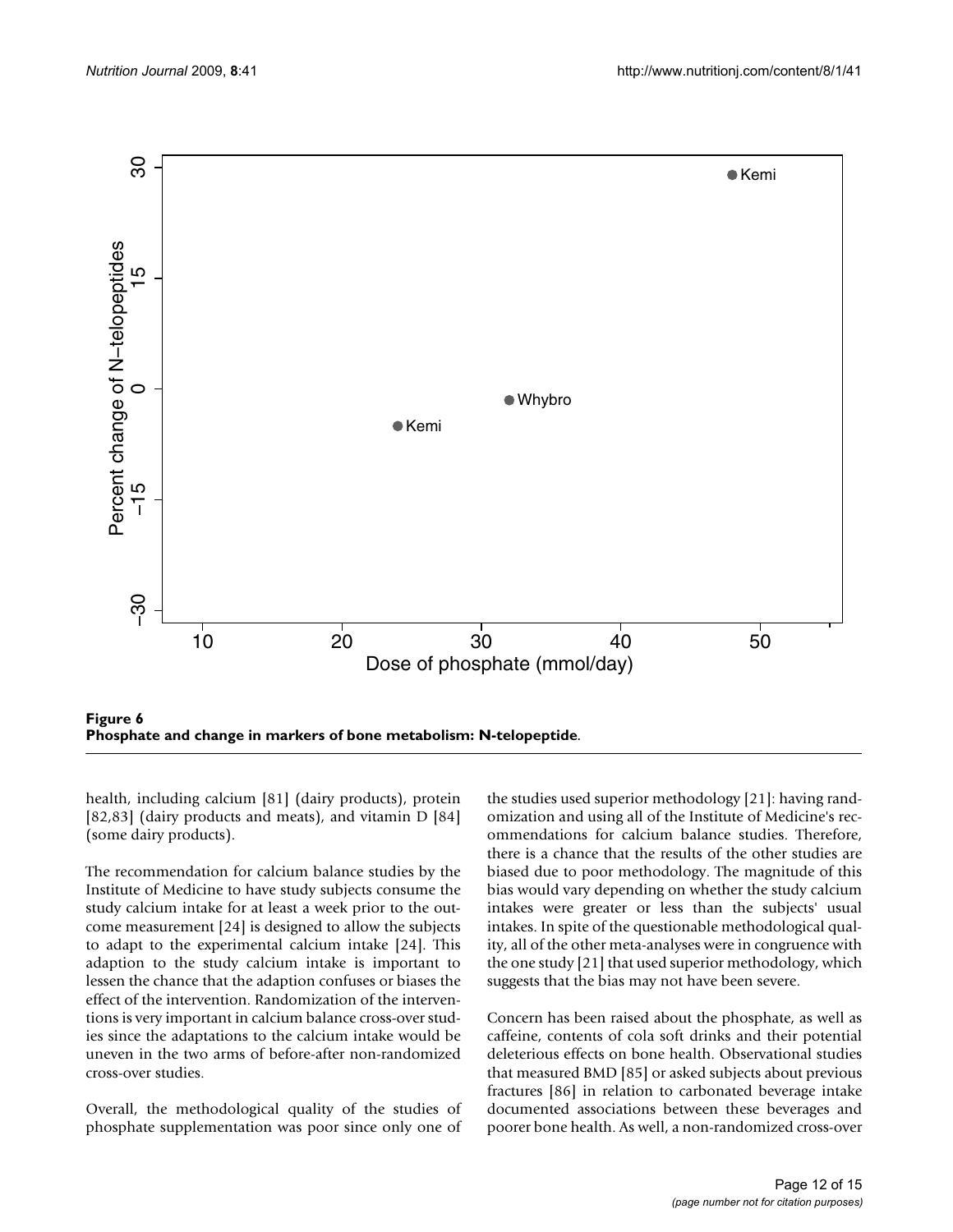

**Phosphate and change in markers of bone metabolism: N-telopeptide**.

health, including calcium [81] (dairy products), protein [82,83] (dairy products and meats), and vitamin D [84] (some dairy products).

The recommendation for calcium balance studies by the Institute of Medicine to have study subjects consume the study calcium intake for at least a week prior to the outcome measurement [24] is designed to allow the subjects to adapt to the experimental calcium intake [24]. This adaption to the study calcium intake is important to lessen the chance that the adaption confuses or biases the effect of the intervention. Randomization of the interventions is very important in calcium balance cross-over studies since the adaptations to the calcium intake would be uneven in the two arms of before-after non-randomized cross-over studies.

Overall, the methodological quality of the studies of phosphate supplementation was poor since only one of the studies used superior methodology [21]: having randomization and using all of the Institute of Medicine's recommendations for calcium balance studies. Therefore, there is a chance that the results of the other studies are biased due to poor methodology. The magnitude of this bias would vary depending on whether the study calcium intakes were greater or less than the subjects' usual intakes. In spite of the questionable methodological quality, all of the other meta-analyses were in congruence with the one study [21] that used superior methodology, which suggests that the bias may not have been severe.

Concern has been raised about the phosphate, as well as caffeine, contents of cola soft drinks and their potential deleterious effects on bone health. Observational studies that measured BMD [85] or asked subjects about previous fractures [86] in relation to carbonated beverage intake documented associations between these beverages and poorer bone health. As well, a non-randomized cross-over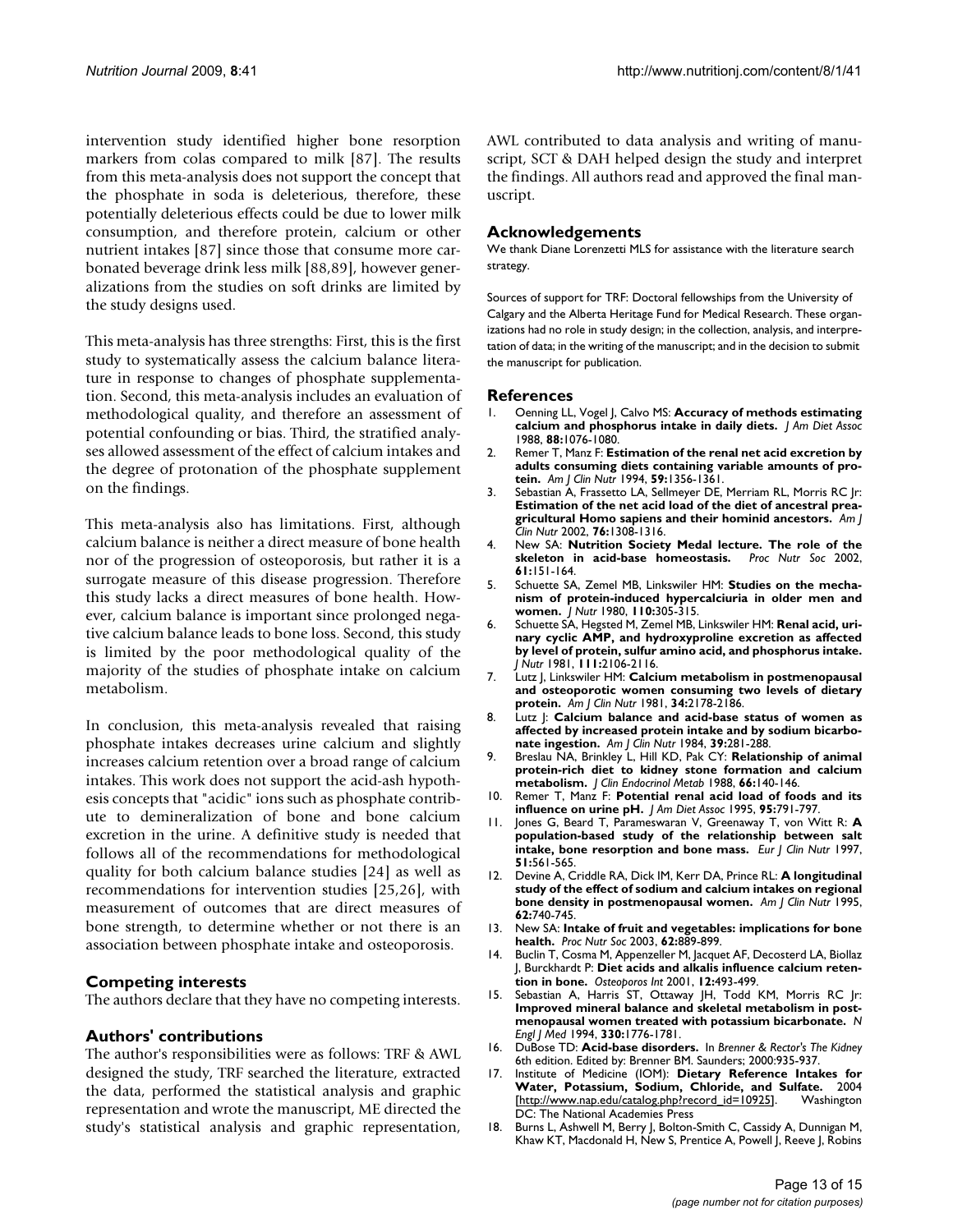intervention study identified higher bone resorption markers from colas compared to milk [87]. The results from this meta-analysis does not support the concept that the phosphate in soda is deleterious, therefore, these potentially deleterious effects could be due to lower milk consumption, and therefore protein, calcium or other nutrient intakes [87] since those that consume more carbonated beverage drink less milk [88,89], however generalizations from the studies on soft drinks are limited by the study designs used.

This meta-analysis has three strengths: First, this is the first study to systematically assess the calcium balance literature in response to changes of phosphate supplementation. Second, this meta-analysis includes an evaluation of methodological quality, and therefore an assessment of potential confounding or bias. Third, the stratified analyses allowed assessment of the effect of calcium intakes and the degree of protonation of the phosphate supplement on the findings.

This meta-analysis also has limitations. First, although calcium balance is neither a direct measure of bone health nor of the progression of osteoporosis, but rather it is a surrogate measure of this disease progression. Therefore this study lacks a direct measures of bone health. However, calcium balance is important since prolonged negative calcium balance leads to bone loss. Second, this study is limited by the poor methodological quality of the majority of the studies of phosphate intake on calcium metabolism.

In conclusion, this meta-analysis revealed that raising phosphate intakes decreases urine calcium and slightly increases calcium retention over a broad range of calcium intakes. This work does not support the acid-ash hypothesis concepts that "acidic" ions such as phosphate contribute to demineralization of bone and bone calcium excretion in the urine. A definitive study is needed that follows all of the recommendations for methodological quality for both calcium balance studies [24] as well as recommendations for intervention studies [25,26], with measurement of outcomes that are direct measures of bone strength, to determine whether or not there is an association between phosphate intake and osteoporosis.

#### **Competing interests**

The authors declare that they have no competing interests.

#### **Authors' contributions**

The author's responsibilities were as follows: TRF & AWL designed the study, TRF searched the literature, extracted the data, performed the statistical analysis and graphic representation and wrote the manuscript, ME directed the study's statistical analysis and graphic representation, AWL contributed to data analysis and writing of manuscript, SCT & DAH helped design the study and interpret the findings. All authors read and approved the final manuscript.

#### **Acknowledgements**

We thank Diane Lorenzetti MLS for assistance with the literature search strategy.

Sources of support for TRF: Doctoral fellowships from the University of Calgary and the Alberta Heritage Fund for Medical Research. These organizations had no role in study design; in the collection, analysis, and interpretation of data; in the writing of the manuscript; and in the decision to submit the manuscript for publication.

#### **References**

- 1. Oenning LL, Vogel J, Calvo MS: **[Accuracy of methods estimating](http://www.ncbi.nlm.nih.gov/entrez/query.fcgi?cmd=Retrieve&db=PubMed&dopt=Abstract&list_uids=3418003) [calcium and phosphorus intake in daily diets.](http://www.ncbi.nlm.nih.gov/entrez/query.fcgi?cmd=Retrieve&db=PubMed&dopt=Abstract&list_uids=3418003)** *J Am Diet Assoc* 1988, **88:**1076-1080.
- 2. Remer T, Manz F: **[Estimation of the renal net acid excretion by](http://www.ncbi.nlm.nih.gov/entrez/query.fcgi?cmd=Retrieve&db=PubMed&dopt=Abstract&list_uids=8198060) [adults consuming diets containing variable amounts of pro](http://www.ncbi.nlm.nih.gov/entrez/query.fcgi?cmd=Retrieve&db=PubMed&dopt=Abstract&list_uids=8198060)[tein.](http://www.ncbi.nlm.nih.gov/entrez/query.fcgi?cmd=Retrieve&db=PubMed&dopt=Abstract&list_uids=8198060)** *Am J Clin Nutr* 1994, **59:**1356-1361.
- 3. Sebastian A, Frassetto LA, Sellmeyer DE, Merriam RL, Morris RC Jr: **[Estimation of the net acid load of the diet of ancestral prea](http://www.ncbi.nlm.nih.gov/entrez/query.fcgi?cmd=Retrieve&db=PubMed&dopt=Abstract&list_uids=12450898)[gricultural Homo sapiens and their hominid ancestors.](http://www.ncbi.nlm.nih.gov/entrez/query.fcgi?cmd=Retrieve&db=PubMed&dopt=Abstract&list_uids=12450898)** *Am J Clin Nutr* 2002, **76:**1308-1316.
- 4. New SA: **[Nutrition Society Medal lecture. The role of the](http://www.ncbi.nlm.nih.gov/entrez/query.fcgi?cmd=Retrieve&db=PubMed&dopt=Abstract&list_uids=12133196) [skeleton in acid-base homeostasis.](http://www.ncbi.nlm.nih.gov/entrez/query.fcgi?cmd=Retrieve&db=PubMed&dopt=Abstract&list_uids=12133196)** *Proc Nutr Soc* 2002, **61:**151-164.
- 5. Schuette SA, Zemel MB, Linkswiler HM: **[Studies on the mecha](http://www.ncbi.nlm.nih.gov/entrez/query.fcgi?cmd=Retrieve&db=PubMed&dopt=Abstract&list_uids=7354401)[nism of protein-induced hypercalciuria in older men and](http://www.ncbi.nlm.nih.gov/entrez/query.fcgi?cmd=Retrieve&db=PubMed&dopt=Abstract&list_uids=7354401) [women.](http://www.ncbi.nlm.nih.gov/entrez/query.fcgi?cmd=Retrieve&db=PubMed&dopt=Abstract&list_uids=7354401)** *J Nutr* 1980, **110:**305-315.
- 6. Schuette SA, Hegsted M, Zemel MB, Linkswiler HM: **[Renal acid, uri](http://www.ncbi.nlm.nih.gov/entrez/query.fcgi?cmd=Retrieve&db=PubMed&dopt=Abstract&list_uids=6273514)[nary cyclic AMP, and hydroxyproline excretion as affected](http://www.ncbi.nlm.nih.gov/entrez/query.fcgi?cmd=Retrieve&db=PubMed&dopt=Abstract&list_uids=6273514) by level of protein, sulfur amino acid, and phosphorus intake.** *J Nutr* 1981, **111:**2106-2116.
- 7. Lutz J, Linkswiler HM: **[Calcium metabolism in postmenopausal](http://www.ncbi.nlm.nih.gov/entrez/query.fcgi?cmd=Retrieve&db=PubMed&dopt=Abstract&list_uids=7293944) [and osteoporotic women consuming two levels of dietary](http://www.ncbi.nlm.nih.gov/entrez/query.fcgi?cmd=Retrieve&db=PubMed&dopt=Abstract&list_uids=7293944) [protein.](http://www.ncbi.nlm.nih.gov/entrez/query.fcgi?cmd=Retrieve&db=PubMed&dopt=Abstract&list_uids=7293944)** *Am J Clin Nutr* 1981, **34:**2178-2186.
- 8. Lutz J: **[Calcium balance and acid-base status of women as](http://www.ncbi.nlm.nih.gov/entrez/query.fcgi?cmd=Retrieve&db=PubMed&dopt=Abstract&list_uids=6320628) [affected by increased protein intake and by sodium bicarbo](http://www.ncbi.nlm.nih.gov/entrez/query.fcgi?cmd=Retrieve&db=PubMed&dopt=Abstract&list_uids=6320628)[nate ingestion.](http://www.ncbi.nlm.nih.gov/entrez/query.fcgi?cmd=Retrieve&db=PubMed&dopt=Abstract&list_uids=6320628)** *Am J Clin Nutr* 1984, **39:**281-288.
- 9. Breslau NA, Brinkley L, Hill KD, Pak CY: **[Relationship of animal](http://www.ncbi.nlm.nih.gov/entrez/query.fcgi?cmd=Retrieve&db=PubMed&dopt=Abstract&list_uids=2826524) [protein-rich diet to kidney stone formation and calcium](http://www.ncbi.nlm.nih.gov/entrez/query.fcgi?cmd=Retrieve&db=PubMed&dopt=Abstract&list_uids=2826524) [metabolism.](http://www.ncbi.nlm.nih.gov/entrez/query.fcgi?cmd=Retrieve&db=PubMed&dopt=Abstract&list_uids=2826524)** *J Clin Endocrinol Metab* 1988, **66:**140-146.
- 10. Remer T, Manz F: **[Potential renal acid load of foods and its](http://www.ncbi.nlm.nih.gov/entrez/query.fcgi?cmd=Retrieve&db=PubMed&dopt=Abstract&list_uids=7797810) [influence on urine pH.](http://www.ncbi.nlm.nih.gov/entrez/query.fcgi?cmd=Retrieve&db=PubMed&dopt=Abstract&list_uids=7797810)** *J Am Diet Assoc* 1995, **95:**791-797.
- 11. Jones G, Beard T, Parameswaran V, Greenaway T, von Witt R: **[A](http://www.ncbi.nlm.nih.gov/entrez/query.fcgi?cmd=Retrieve&db=PubMed&dopt=Abstract&list_uids=11248883) [population-based study of the relationship between salt](http://www.ncbi.nlm.nih.gov/entrez/query.fcgi?cmd=Retrieve&db=PubMed&dopt=Abstract&list_uids=11248883) [intake, bone resorption and bone mass.](http://www.ncbi.nlm.nih.gov/entrez/query.fcgi?cmd=Retrieve&db=PubMed&dopt=Abstract&list_uids=11248883)** *Eur J Clin Nutr* 1997, **51:**561-565.
- 12. Devine A, Criddle RA, Dick IM, Kerr DA, Prince RL: **[A longitudinal](http://www.ncbi.nlm.nih.gov/entrez/query.fcgi?cmd=Retrieve&db=PubMed&dopt=Abstract&list_uids=7572702) [study of the effect of sodium and calcium intakes on regional](http://www.ncbi.nlm.nih.gov/entrez/query.fcgi?cmd=Retrieve&db=PubMed&dopt=Abstract&list_uids=7572702) [bone density in postmenopausal women.](http://www.ncbi.nlm.nih.gov/entrez/query.fcgi?cmd=Retrieve&db=PubMed&dopt=Abstract&list_uids=7572702)** *Am J Clin Nutr* 1995, **62:**740-745.
- 13. New SA: **[Intake of fruit and vegetables: implications for bone](http://www.ncbi.nlm.nih.gov/entrez/query.fcgi?cmd=Retrieve&db=PubMed&dopt=Abstract&list_uids=15018489) [health.](http://www.ncbi.nlm.nih.gov/entrez/query.fcgi?cmd=Retrieve&db=PubMed&dopt=Abstract&list_uids=15018489)** *Proc Nutr Soc* 2003, **62:**889-899.
- 14. Buclin T, Cosma M, Appenzeller M, Jacquet AF, Decosterd LA, Biollaz J, Burckhardt P: **[Diet acids and alkalis influence calcium reten](http://www.ncbi.nlm.nih.gov/entrez/query.fcgi?cmd=Retrieve&db=PubMed&dopt=Abstract&list_uids=11446566)[tion in bone.](http://www.ncbi.nlm.nih.gov/entrez/query.fcgi?cmd=Retrieve&db=PubMed&dopt=Abstract&list_uids=11446566)** *Osteoporos Int* 2001, **12:**493-499.
- 15. Sebastian A, Harris ST, Ottaway JH, Todd KM, Morris RC Jr: **[Improved mineral balance and skeletal metabolism in post](http://www.ncbi.nlm.nih.gov/entrez/query.fcgi?cmd=Retrieve&db=PubMed&dopt=Abstract&list_uids=8190153)[menopausal women treated with potassium bicarbonate.](http://www.ncbi.nlm.nih.gov/entrez/query.fcgi?cmd=Retrieve&db=PubMed&dopt=Abstract&list_uids=8190153)** *N Engl J Med* 1994, **330:**1776-1781.
- 16. DuBose TD: **Acid-base disorders.** In *Brenner & Rector's The Kidney* 6th edition. Edited by: Brenner BM. Saunders; 2000:935-937.
- 17. Institute of Medicine (IOM): **Dietary Reference Intakes for Water, Potassium, Sodium, Chloride, and Sulfate.** 2004 [[http://www.nap.edu/catalog.php?record\\_id=10925](http://www.nap.edu/catalog.php?record_id=10925)]. DC: The National Academies Press
- 18. Burns L, Ashwell M, Berry J, Bolton-Smith C, Cassidy A, Dunnigan M, Khaw KT, Macdonald H, New S, Prentice A, Powell J, Reeve J, Robins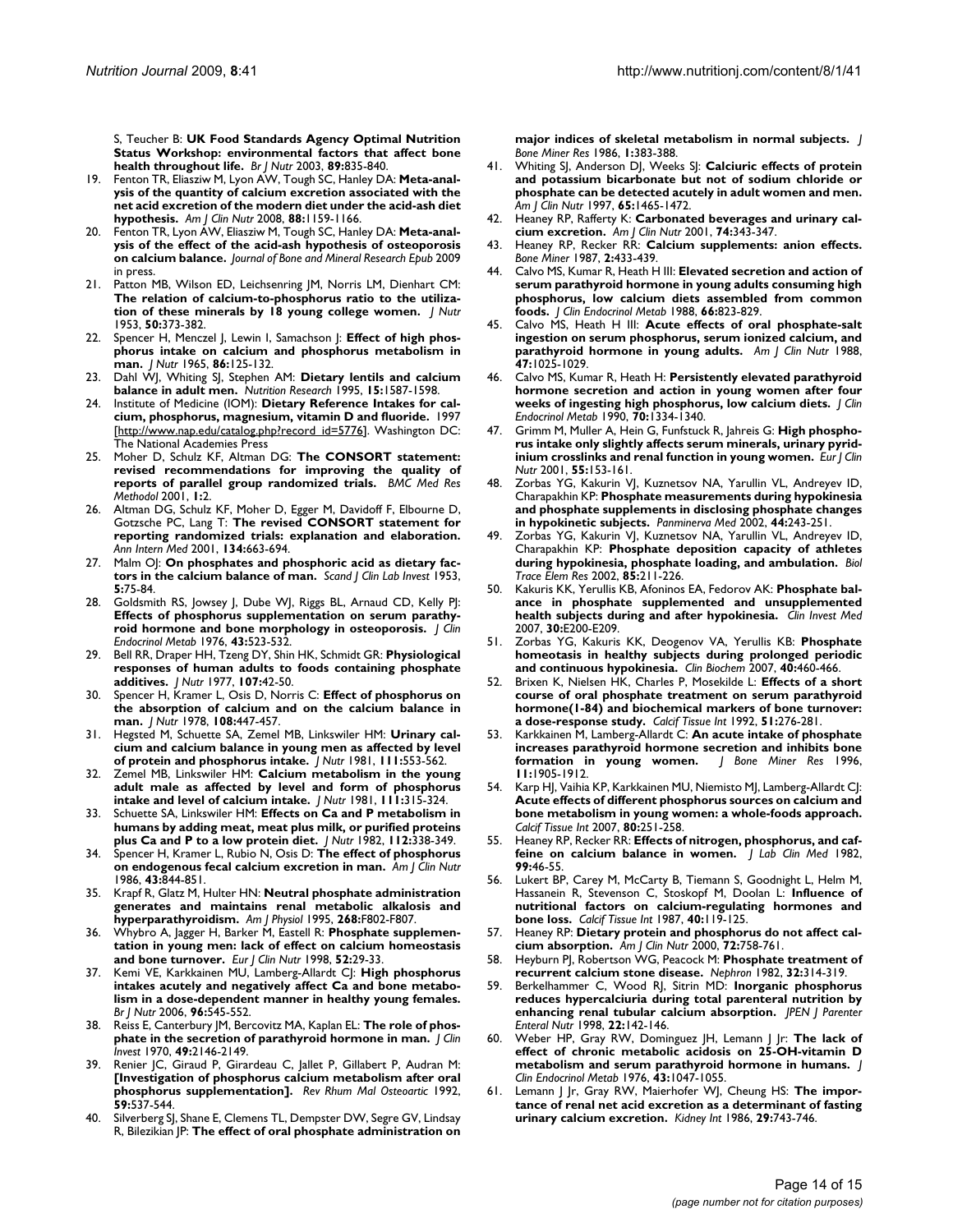S, Teucher B: **[UK Food Standards Agency Optimal Nutrition](http://www.ncbi.nlm.nih.gov/entrez/query.fcgi?cmd=Retrieve&db=PubMed&dopt=Abstract&list_uids=12828800) [Status Workshop: environmental factors that affect bone](http://www.ncbi.nlm.nih.gov/entrez/query.fcgi?cmd=Retrieve&db=PubMed&dopt=Abstract&list_uids=12828800) [health throughout life.](http://www.ncbi.nlm.nih.gov/entrez/query.fcgi?cmd=Retrieve&db=PubMed&dopt=Abstract&list_uids=12828800)** *Br J Nutr* 2003, **89:**835-840.

- 19. Fenton TR, Eliasziw M, Lyon AW, Tough SC, Hanley DA: **[Meta-anal](http://www.ncbi.nlm.nih.gov/entrez/query.fcgi?cmd=Retrieve&db=PubMed&dopt=Abstract&list_uids=18842807)[ysis of the quantity of calcium excretion associated with the](http://www.ncbi.nlm.nih.gov/entrez/query.fcgi?cmd=Retrieve&db=PubMed&dopt=Abstract&list_uids=18842807) net acid excretion of the modern diet under the acid-ash diet [hypothesis.](http://www.ncbi.nlm.nih.gov/entrez/query.fcgi?cmd=Retrieve&db=PubMed&dopt=Abstract&list_uids=18842807)** *Am J Clin Nutr* 2008, **88:**1159-1166.
- 20. Fenton TR, Lyon AW, Eliasziw M, Tough SC, Hanley DA: **[Meta-anal](http://www.ncbi.nlm.nih.gov/entrez/query.fcgi?cmd=Retrieve&db=PubMed&dopt=Abstract&list_uids=19419322)[ysis of the effect of the acid-ash hypothesis of osteoporosis](http://www.ncbi.nlm.nih.gov/entrez/query.fcgi?cmd=Retrieve&db=PubMed&dopt=Abstract&list_uids=19419322) [on calcium balance.](http://www.ncbi.nlm.nih.gov/entrez/query.fcgi?cmd=Retrieve&db=PubMed&dopt=Abstract&list_uids=19419322)** *Journal of Bone and Mineral Research Epub* 2009 in press.
- 21. Patton MB, Wilson ED, Leichsenring JM, Norris LM, Dienhart CM: **[The relation of calcium-to-phosphorus ratio to the utiliza](http://www.ncbi.nlm.nih.gov/entrez/query.fcgi?cmd=Retrieve&db=PubMed&dopt=Abstract&list_uids=13070094)[tion of these minerals by 18 young college women.](http://www.ncbi.nlm.nih.gov/entrez/query.fcgi?cmd=Retrieve&db=PubMed&dopt=Abstract&list_uids=13070094)** *J Nutr* 1953, **50:**373-382.
- 22. Spencer H, Menczel J, Lewin I, Samachson J: **[Effect of high phos](http://www.ncbi.nlm.nih.gov/entrez/query.fcgi?cmd=Retrieve&db=PubMed&dopt=Abstract&list_uids=14300991)[phorus intake on calcium and phosphorus metabolism in](http://www.ncbi.nlm.nih.gov/entrez/query.fcgi?cmd=Retrieve&db=PubMed&dopt=Abstract&list_uids=14300991) [man.](http://www.ncbi.nlm.nih.gov/entrez/query.fcgi?cmd=Retrieve&db=PubMed&dopt=Abstract&list_uids=14300991)** *J Nutr* 1965, **86:**125-132.
- 23. Dahl WJ, Whiting SJ, Stephen AM: **Dietary lentils and calcium balance in adult men.** *Nutrition Research* 1995, **15:**1587-1598.
- 24. Institute of Medicine (IOM): **Dietary Reference Intakes for calcium, phosphorus, magnesium, vitamin D and fluoride.** 1997 [[http://www.nap.edu/catalog.php?record\\_id=5776](http://www.nap.edu/catalog.php?record_id=5776)]. Washington DC: The National Academies Press
- 25. Moher D, Schulz KF, Altman DG: **[The CONSORT statement:](http://www.ncbi.nlm.nih.gov/entrez/query.fcgi?cmd=Retrieve&db=PubMed&dopt=Abstract&list_uids=11336663) [revised recommendations for improving the quality of](http://www.ncbi.nlm.nih.gov/entrez/query.fcgi?cmd=Retrieve&db=PubMed&dopt=Abstract&list_uids=11336663) [reports of parallel group randomized trials.](http://www.ncbi.nlm.nih.gov/entrez/query.fcgi?cmd=Retrieve&db=PubMed&dopt=Abstract&list_uids=11336663)** *BMC Med Res Methodol* 2001, **1:**2.
- 26. Altman DG, Schulz KF, Moher D, Egger M, Davidoff F, Elbourne D, Gotzsche PC, Lang T: **[The revised CONSORT statement for](http://www.ncbi.nlm.nih.gov/entrez/query.fcgi?cmd=Retrieve&db=PubMed&dopt=Abstract&list_uids=11304107) [reporting randomized trials: explanation and elaboration.](http://www.ncbi.nlm.nih.gov/entrez/query.fcgi?cmd=Retrieve&db=PubMed&dopt=Abstract&list_uids=11304107)** *Ann Intern Med* 2001, **134:**663-694.
- 27. Malm O|: **[On phosphates and phosphoric acid as dietary fac](http://www.ncbi.nlm.nih.gov/entrez/query.fcgi?cmd=Retrieve&db=PubMed&dopt=Abstract&list_uids=13064618)[tors in the calcium balance of man.](http://www.ncbi.nlm.nih.gov/entrez/query.fcgi?cmd=Retrieve&db=PubMed&dopt=Abstract&list_uids=13064618)** *Scand J Clin Lab Invest* 1953, **5:**75-84.
- 28. Goldsmith RS, Jowsey J, Dube WJ, Riggs BL, Arnaud CD, Kelly PJ: **[Effects of phosphorus supplementation on serum parathy](http://www.ncbi.nlm.nih.gov/entrez/query.fcgi?cmd=Retrieve&db=PubMed&dopt=Abstract&list_uids=956340)[roid hormone and bone morphology in osteoporosis.](http://www.ncbi.nlm.nih.gov/entrez/query.fcgi?cmd=Retrieve&db=PubMed&dopt=Abstract&list_uids=956340)** *J Clin Endocrinol Metab* 1976, **43:**523-532.
- 29. Bell RR, Draper HH, Tzeng DY, Shin HK, Schmidt GR: **[Physiological](http://www.ncbi.nlm.nih.gov/entrez/query.fcgi?cmd=Retrieve&db=PubMed&dopt=Abstract&list_uids=189000) [responses of human adults to foods containing phosphate](http://www.ncbi.nlm.nih.gov/entrez/query.fcgi?cmd=Retrieve&db=PubMed&dopt=Abstract&list_uids=189000) [additives.](http://www.ncbi.nlm.nih.gov/entrez/query.fcgi?cmd=Retrieve&db=PubMed&dopt=Abstract&list_uids=189000)** *J Nutr* 1977, **107:**42-50.
- 30. Spencer H, Kramer L, Osis D, Norris C: **[Effect of phosphorus on](http://www.ncbi.nlm.nih.gov/entrez/query.fcgi?cmd=Retrieve&db=PubMed&dopt=Abstract&list_uids=627919) [the absorption of calcium and on the calcium balance in](http://www.ncbi.nlm.nih.gov/entrez/query.fcgi?cmd=Retrieve&db=PubMed&dopt=Abstract&list_uids=627919) [man.](http://www.ncbi.nlm.nih.gov/entrez/query.fcgi?cmd=Retrieve&db=PubMed&dopt=Abstract&list_uids=627919)** *J Nutr* 1978, **108:**447-457.
- 31. Hegsted M, Schuette SA, Zemel MB, Linkswiler HM: **[Urinary cal](http://www.ncbi.nlm.nih.gov/entrez/query.fcgi?cmd=Retrieve&db=PubMed&dopt=Abstract&list_uids=7205408)[cium and calcium balance in young men as affected by level](http://www.ncbi.nlm.nih.gov/entrez/query.fcgi?cmd=Retrieve&db=PubMed&dopt=Abstract&list_uids=7205408) [of protein and phosphorus intake.](http://www.ncbi.nlm.nih.gov/entrez/query.fcgi?cmd=Retrieve&db=PubMed&dopt=Abstract&list_uids=7205408)** *J Nutr* 1981, **111:**553-562.
- 32. Zemel MB, Linkswiler HM: **[Calcium metabolism in the young](http://www.ncbi.nlm.nih.gov/entrez/query.fcgi?cmd=Retrieve&db=PubMed&dopt=Abstract&list_uids=6257868) [adult male as affected by level and form of phosphorus](http://www.ncbi.nlm.nih.gov/entrez/query.fcgi?cmd=Retrieve&db=PubMed&dopt=Abstract&list_uids=6257868) [intake and level of calcium intake.](http://www.ncbi.nlm.nih.gov/entrez/query.fcgi?cmd=Retrieve&db=PubMed&dopt=Abstract&list_uids=6257868)** *J Nutr* 1981, **111:**315-324.
- 33. Schuette SA, Linkswiler HM: **[Effects on Ca and P metabolism in](http://www.ncbi.nlm.nih.gov/entrez/query.fcgi?cmd=Retrieve&db=PubMed&dopt=Abstract&list_uids=6276519) [humans by adding meat, meat plus milk, or purified proteins](http://www.ncbi.nlm.nih.gov/entrez/query.fcgi?cmd=Retrieve&db=PubMed&dopt=Abstract&list_uids=6276519) [plus Ca and P to a low protein diet.](http://www.ncbi.nlm.nih.gov/entrez/query.fcgi?cmd=Retrieve&db=PubMed&dopt=Abstract&list_uids=6276519)** *J Nutr* 1982, **112:**338-349.
- 34. Spencer H, Kramer L, Rubio N, Osis D: **[The effect of phosphorus](http://www.ncbi.nlm.nih.gov/entrez/query.fcgi?cmd=Retrieve&db=PubMed&dopt=Abstract&list_uids=3706192) [on endogenous fecal calcium excretion in man.](http://www.ncbi.nlm.nih.gov/entrez/query.fcgi?cmd=Retrieve&db=PubMed&dopt=Abstract&list_uids=3706192)** *Am J Clin Nutr* 1986, **43:**844-851.
- 35. Krapf R, Glatz M, Hulter HN: **[Neutral phosphate administration](http://www.ncbi.nlm.nih.gov/entrez/query.fcgi?cmd=Retrieve&db=PubMed&dopt=Abstract&list_uids=7771507) [generates and maintains renal metabolic alkalosis and](http://www.ncbi.nlm.nih.gov/entrez/query.fcgi?cmd=Retrieve&db=PubMed&dopt=Abstract&list_uids=7771507) [hyperparathyroidism.](http://www.ncbi.nlm.nih.gov/entrez/query.fcgi?cmd=Retrieve&db=PubMed&dopt=Abstract&list_uids=7771507)** *Am J Physiol* 1995, **268:**F802-F807.
- 36. Whybro A, Jagger H, Barker M, Eastell R: **[Phosphate supplemen](http://www.ncbi.nlm.nih.gov/entrez/query.fcgi?cmd=Retrieve&db=PubMed&dopt=Abstract&list_uids=9481529)[tation in young men: lack of effect on calcium homeostasis](http://www.ncbi.nlm.nih.gov/entrez/query.fcgi?cmd=Retrieve&db=PubMed&dopt=Abstract&list_uids=9481529) [and bone turnover.](http://www.ncbi.nlm.nih.gov/entrez/query.fcgi?cmd=Retrieve&db=PubMed&dopt=Abstract&list_uids=9481529)** *Eur J Clin Nutr* 1998, **52:**29-33.
- 37. Kemi VE, Karkkainen MU, Lamberg-Allardt CJ: **[High phosphorus](http://www.ncbi.nlm.nih.gov/entrez/query.fcgi?cmd=Retrieve&db=PubMed&dopt=Abstract&list_uids=16925861) [intakes acutely and negatively affect Ca and bone metabo](http://www.ncbi.nlm.nih.gov/entrez/query.fcgi?cmd=Retrieve&db=PubMed&dopt=Abstract&list_uids=16925861)lism in a dose-dependent manner in healthy young females.** *Br J Nutr* 2006, **96:**545-552.
- 38. Reiss E, Canterbury JM, Bercovitz MA, Kaplan EL: **[The role of phos](http://www.ncbi.nlm.nih.gov/entrez/query.fcgi?cmd=Retrieve&db=PubMed&dopt=Abstract&list_uids=5475987)[phate in the secretion of parathyroid hormone in man.](http://www.ncbi.nlm.nih.gov/entrez/query.fcgi?cmd=Retrieve&db=PubMed&dopt=Abstract&list_uids=5475987)** *J Clin Invest* 1970, **49:**2146-2149.
- 39. Renier JC, Giraud P, Girardeau C, Jallet P, Gillabert P, Audran M: **[\[Investigation of phosphorus calcium metabolism after oral](http://www.ncbi.nlm.nih.gov/entrez/query.fcgi?cmd=Retrieve&db=PubMed&dopt=Abstract&list_uids=1494736) [phosphorus supplementation\].](http://www.ncbi.nlm.nih.gov/entrez/query.fcgi?cmd=Retrieve&db=PubMed&dopt=Abstract&list_uids=1494736)** *Rev Rhum Mal Osteoartic* 1992, **59:**537-544.
- 40. Silverberg SJ, Shane E, Clemens TL, Dempster DW, Segre GV, Lindsay R, Bilezikian JP: **[The effect of oral phosphate administration on](http://www.ncbi.nlm.nih.gov/entrez/query.fcgi?cmd=Retrieve&db=PubMed&dopt=Abstract&list_uids=3503552)**

**[major indices of skeletal metabolism in normal subjects.](http://www.ncbi.nlm.nih.gov/entrez/query.fcgi?cmd=Retrieve&db=PubMed&dopt=Abstract&list_uids=3503552)** *J Bone Miner Res* 1986, **1:**383-388.

- 41. Whiting SJ, Anderson DJ, Weeks SJ: **[Calciuric effects of protein](http://www.ncbi.nlm.nih.gov/entrez/query.fcgi?cmd=Retrieve&db=PubMed&dopt=Abstract&list_uids=9129478) [and potassium bicarbonate but not of sodium chloride or](http://www.ncbi.nlm.nih.gov/entrez/query.fcgi?cmd=Retrieve&db=PubMed&dopt=Abstract&list_uids=9129478) phosphate can be detected acutely in adult women and men.** *Am J Clin Nutr* 1997, **65:**1465-1472.
- 42. Heaney RP, Rafferty K: **[Carbonated beverages and urinary cal](http://www.ncbi.nlm.nih.gov/entrez/query.fcgi?cmd=Retrieve&db=PubMed&dopt=Abstract&list_uids=11522558)[cium excretion.](http://www.ncbi.nlm.nih.gov/entrez/query.fcgi?cmd=Retrieve&db=PubMed&dopt=Abstract&list_uids=11522558)** *Am J Clin Nutr* 2001, **74:**343-347.
- 43. Heaney RP, Recker RR: **[Calcium supplements: anion effects.](http://www.ncbi.nlm.nih.gov/entrez/query.fcgi?cmd=Retrieve&db=PubMed&dopt=Abstract&list_uids=2851341)** *Bone Miner* 1987, **2:**433-439.
- 44. Calvo MS, Kumar R, Heath H III: **[Elevated secretion and action of](http://www.ncbi.nlm.nih.gov/entrez/query.fcgi?cmd=Retrieve&db=PubMed&dopt=Abstract&list_uids=2831248) [serum parathyroid hormone in young adults consuming high](http://www.ncbi.nlm.nih.gov/entrez/query.fcgi?cmd=Retrieve&db=PubMed&dopt=Abstract&list_uids=2831248) phosphorus, low calcium diets assembled from common [foods.](http://www.ncbi.nlm.nih.gov/entrez/query.fcgi?cmd=Retrieve&db=PubMed&dopt=Abstract&list_uids=2831248)** *J Clin Endocrinol Metab* 1988, **66:**823-829.
- 45. Calvo MS, Heath H III: **[Acute effects of oral phosphate-salt](http://www.ncbi.nlm.nih.gov/entrez/query.fcgi?cmd=Retrieve&db=PubMed&dopt=Abstract&list_uids=2837078) [ingestion on serum phosphorus, serum ionized calcium, and](http://www.ncbi.nlm.nih.gov/entrez/query.fcgi?cmd=Retrieve&db=PubMed&dopt=Abstract&list_uids=2837078) [parathyroid hormone in young adults.](http://www.ncbi.nlm.nih.gov/entrez/query.fcgi?cmd=Retrieve&db=PubMed&dopt=Abstract&list_uids=2837078)** *Am J Clin Nutr* 1988, **47:**1025-1029.
- 46. Calvo MS, Kumar R, Heath H: **[Persistently elevated parathyroid](http://www.ncbi.nlm.nih.gov/entrez/query.fcgi?cmd=Retrieve&db=PubMed&dopt=Abstract&list_uids=2335575) [hormone secretion and action in young women after four](http://www.ncbi.nlm.nih.gov/entrez/query.fcgi?cmd=Retrieve&db=PubMed&dopt=Abstract&list_uids=2335575) [weeks of ingesting high phosphorus, low calcium diets.](http://www.ncbi.nlm.nih.gov/entrez/query.fcgi?cmd=Retrieve&db=PubMed&dopt=Abstract&list_uids=2335575)** *J Clin Endocrinol Metab* 1990, **70:**1334-1340.
- 47. Grimm M, Muller A, Hein G, Funfstuck R, Jahreis G: **[High phospho](http://www.ncbi.nlm.nih.gov/entrez/query.fcgi?cmd=Retrieve&db=PubMed&dopt=Abstract&list_uids=11305263)[rus intake only slightly affects serum minerals, urinary pyrid](http://www.ncbi.nlm.nih.gov/entrez/query.fcgi?cmd=Retrieve&db=PubMed&dopt=Abstract&list_uids=11305263)[inium crosslinks and renal function in young women.](http://www.ncbi.nlm.nih.gov/entrez/query.fcgi?cmd=Retrieve&db=PubMed&dopt=Abstract&list_uids=11305263)** *Eur J Clin Nutr* 2001, **55:**153-161.
- Zorbas YG, Kakurin VJ, Kuznetsov NA, Yarullin VL, Andreyev ID, Charapakhin KP: **[Phosphate measurements during hypokinesia](http://www.ncbi.nlm.nih.gov/entrez/query.fcgi?cmd=Retrieve&db=PubMed&dopt=Abstract&list_uids=12094140) [and phosphate supplements in disclosing phosphate changes](http://www.ncbi.nlm.nih.gov/entrez/query.fcgi?cmd=Retrieve&db=PubMed&dopt=Abstract&list_uids=12094140) [in hypokinetic subjects.](http://www.ncbi.nlm.nih.gov/entrez/query.fcgi?cmd=Retrieve&db=PubMed&dopt=Abstract&list_uids=12094140)** *Panminerva Med* 2002, **44:**243-251.
- Zorbas YG, Kakurin VJ, Kuznetsov NA, Yarullin VL, Andreyev ID, Charapakhin KP: **[Phosphate deposition capacity of athletes](http://www.ncbi.nlm.nih.gov/entrez/query.fcgi?cmd=Retrieve&db=PubMed&dopt=Abstract&list_uids=11934246) [during hypokinesia, phosphate loading, and ambulation.](http://www.ncbi.nlm.nih.gov/entrez/query.fcgi?cmd=Retrieve&db=PubMed&dopt=Abstract&list_uids=11934246)** *Biol Trace Elem Res* 2002, **85:**211-226.
- 50. Kakuris KK, Yerullis KB, Afoninos EA, Fedorov AK: **[Phosphate bal](http://www.ncbi.nlm.nih.gov/entrez/query.fcgi?cmd=Retrieve&db=PubMed&dopt=Abstract&list_uids=17892762)[ance in phosphate supplemented and unsupplemented](http://www.ncbi.nlm.nih.gov/entrez/query.fcgi?cmd=Retrieve&db=PubMed&dopt=Abstract&list_uids=17892762) [health subjects during and after hypokinesia.](http://www.ncbi.nlm.nih.gov/entrez/query.fcgi?cmd=Retrieve&db=PubMed&dopt=Abstract&list_uids=17892762)** *Clin Invest Med* 2007, **30:**E200-E209.
- 51. Zorbas YG, Kakuris KK, Deogenov VA, Yerullis KB: **[Phosphate](http://www.ncbi.nlm.nih.gov/entrez/query.fcgi?cmd=Retrieve&db=PubMed&dopt=Abstract&list_uids=17331489) [homeotasis in healthy subjects during prolonged periodic](http://www.ncbi.nlm.nih.gov/entrez/query.fcgi?cmd=Retrieve&db=PubMed&dopt=Abstract&list_uids=17331489) [and continuous hypokinesia.](http://www.ncbi.nlm.nih.gov/entrez/query.fcgi?cmd=Retrieve&db=PubMed&dopt=Abstract&list_uids=17331489)** *Clin Biochem* 2007, **40:**460-466.
- 52. Brixen K, Nielsen HK, Charles P, Mosekilde L: **[Effects of a short](http://www.ncbi.nlm.nih.gov/entrez/query.fcgi?cmd=Retrieve&db=PubMed&dopt=Abstract&list_uids=1422972) [course of oral phosphate treatment on serum parathyroid](http://www.ncbi.nlm.nih.gov/entrez/query.fcgi?cmd=Retrieve&db=PubMed&dopt=Abstract&list_uids=1422972) hormone(1-84) and biochemical markers of bone turnover: [a dose-response study.](http://www.ncbi.nlm.nih.gov/entrez/query.fcgi?cmd=Retrieve&db=PubMed&dopt=Abstract&list_uids=1422972)** *Calcif Tissue Int* 1992, **51:**276-281.
- 53. Karkkainen M, Lamberg-Allardt C: **[An acute intake of phosphate](http://www.ncbi.nlm.nih.gov/entrez/query.fcgi?cmd=Retrieve&db=PubMed&dopt=Abstract&list_uids=8970892) [increases parathyroid hormone secretion and inhibits bone](http://www.ncbi.nlm.nih.gov/entrez/query.fcgi?cmd=Retrieve&db=PubMed&dopt=Abstract&list_uids=8970892) [formation in young women.](http://www.ncbi.nlm.nih.gov/entrez/query.fcgi?cmd=Retrieve&db=PubMed&dopt=Abstract&list_uids=8970892)** *J Bone Miner Res* 1996, **11:**1905-1912.
- 54. Karp HJ, Vaihia KP, Karkkainen MU, Niemisto MJ, Lamberg-Allardt CJ: **Acute effects of different phosphorus sources on calcium and [bone metabolism in young women: a whole-foods approach.](http://www.ncbi.nlm.nih.gov/entrez/query.fcgi?cmd=Retrieve&db=PubMed&dopt=Abstract&list_uids=17401693)** *Calcif Tissue Int* 2007, **80:**251-258.
- 55. Heaney RP, Recker RR: **[Effects of nitrogen, phosphorus, and caf](http://www.ncbi.nlm.nih.gov/entrez/query.fcgi?cmd=Retrieve&db=PubMed&dopt=Abstract&list_uids=7054349)[feine on calcium balance in women.](http://www.ncbi.nlm.nih.gov/entrez/query.fcgi?cmd=Retrieve&db=PubMed&dopt=Abstract&list_uids=7054349)** *J Lab Clin Med* 1982, **99:**46-55.
- 56. Lukert BP, Carey M, McCarty B, Tiemann S, Goodnight L, Helm M, Hassanein R, Stevenson C, Stoskopf M, Doolan L: **[Influence of](http://www.ncbi.nlm.nih.gov/entrez/query.fcgi?cmd=Retrieve&db=PubMed&dopt=Abstract&list_uids=3105841) [nutritional factors on calcium-regulating hormones and](http://www.ncbi.nlm.nih.gov/entrez/query.fcgi?cmd=Retrieve&db=PubMed&dopt=Abstract&list_uids=3105841) [bone loss.](http://www.ncbi.nlm.nih.gov/entrez/query.fcgi?cmd=Retrieve&db=PubMed&dopt=Abstract&list_uids=3105841)** *Calcif Tissue Int* 1987, **40:**119-125.
- 57. Heaney RP: **[Dietary protein and phosphorus do not affect cal](http://www.ncbi.nlm.nih.gov/entrez/query.fcgi?cmd=Retrieve&db=PubMed&dopt=Abstract&list_uids=10966895)[cium absorption.](http://www.ncbi.nlm.nih.gov/entrez/query.fcgi?cmd=Retrieve&db=PubMed&dopt=Abstract&list_uids=10966895)** *Am J Clin Nutr* 2000, **72:**758-761.
- 58. Heyburn PJ, Robertson WG, Peacock M: **[Phosphate treatment of](http://www.ncbi.nlm.nih.gov/entrez/query.fcgi?cmd=Retrieve&db=PubMed&dopt=Abstract&list_uids=7167209) [recurrent calcium stone disease.](http://www.ncbi.nlm.nih.gov/entrez/query.fcgi?cmd=Retrieve&db=PubMed&dopt=Abstract&list_uids=7167209)** *Nephron* 1982, **32:**314-319.
- 59. Berkelhammer C, Wood RJ, Sitrin MD: **[Inorganic phosphorus](http://www.ncbi.nlm.nih.gov/entrez/query.fcgi?cmd=Retrieve&db=PubMed&dopt=Abstract&list_uids=9586791) [reduces hypercalciuria during total parenteral nutrition by](http://www.ncbi.nlm.nih.gov/entrez/query.fcgi?cmd=Retrieve&db=PubMed&dopt=Abstract&list_uids=9586791) [enhancing renal tubular calcium absorption.](http://www.ncbi.nlm.nih.gov/entrez/query.fcgi?cmd=Retrieve&db=PubMed&dopt=Abstract&list_uids=9586791)** *JPEN J Parenter Enteral Nutr* 1998, **22:**142-146.
- 60. Weber HP, Gray RW, Dominguez JH, Lemann J Jr: **[The lack of](http://www.ncbi.nlm.nih.gov/entrez/query.fcgi?cmd=Retrieve&db=PubMed&dopt=Abstract&list_uids=993311) [effect of chronic metabolic acidosis on 25-OH-vitamin D](http://www.ncbi.nlm.nih.gov/entrez/query.fcgi?cmd=Retrieve&db=PubMed&dopt=Abstract&list_uids=993311) [metabolism and serum parathyroid hormone in humans.](http://www.ncbi.nlm.nih.gov/entrez/query.fcgi?cmd=Retrieve&db=PubMed&dopt=Abstract&list_uids=993311)** *J Clin Endocrinol Metab* 1976, **43:**1047-1055.
- 61. Lemann J Jr, Gray RW, Maierhofer WJ, Cheung HS: **[The impor](http://www.ncbi.nlm.nih.gov/entrez/query.fcgi?cmd=Retrieve&db=PubMed&dopt=Abstract&list_uids=3702225)[tance of renal net acid excretion as a determinant of fasting](http://www.ncbi.nlm.nih.gov/entrez/query.fcgi?cmd=Retrieve&db=PubMed&dopt=Abstract&list_uids=3702225) [urinary calcium excretion.](http://www.ncbi.nlm.nih.gov/entrez/query.fcgi?cmd=Retrieve&db=PubMed&dopt=Abstract&list_uids=3702225)** *Kidney Int* 1986, **29:**743-746.